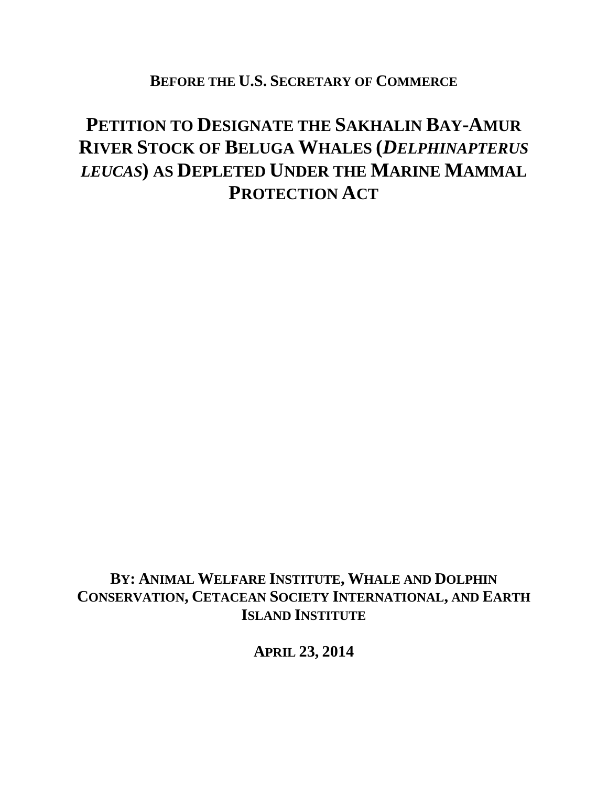**BEFORE THE U.S. SECRETARY OF COMMERCE**

# **PETITION TO DESIGNATE THE SAKHALIN BAY-AMUR RIVER STOCK OF BELUGA WHALES (***DELPHINAPTERUS LEUCAS***) AS DEPLETED UNDER THE MARINE MAMMAL PROTECTION ACT**

**BY: ANIMAL WELFARE INSTITUTE, WHALE AND DOLPHIN CONSERVATION, CETACEAN SOCIETY INTERNATIONAL, AND EARTH ISLAND INSTITUTE**

**APRIL 23, 2014**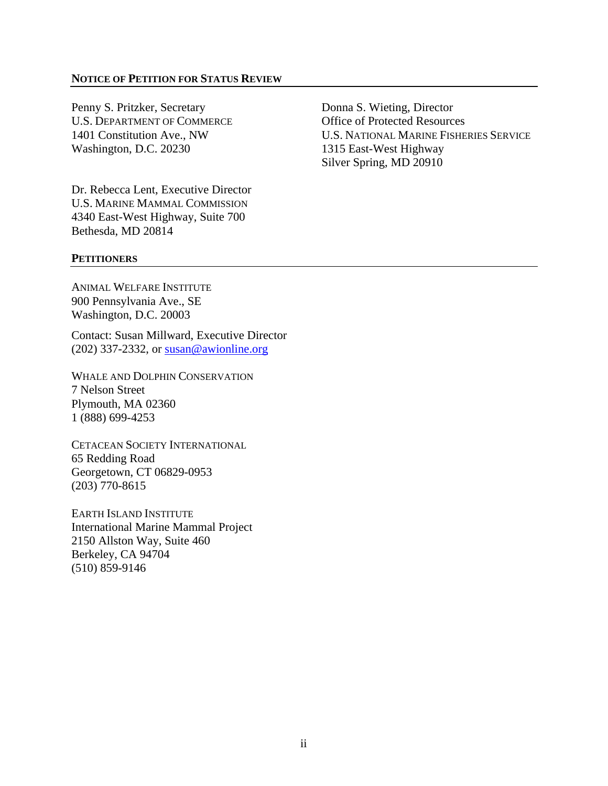#### **NOTICE OF PETITION FOR STATUS REVIEW**

Penny S. Pritzker, Secretary Donna S. Wieting, Director U.S. DEPARTMENT OF COMMERCE **Office of Protected Resources** Washington, D.C. 20230 1315 East-West Highway

Dr. Rebecca Lent, Executive Director U.S. MARINE MAMMAL COMMISSION 4340 East-West Highway, Suite 700 Bethesda, MD 20814

1401 Constitution Ave., NW U.S. NATIONAL MARINE FISHERIES SERVICE Silver Spring, MD 20910

#### **PETITIONERS**

ANIMAL WELFARE INSTITUTE 900 Pennsylvania Ave., SE Washington, D.C. 20003

Contact: Susan Millward, Executive Director (202) 337-2332, or [susan@awionline.org](mailto:susan@awionline.org)

WHALE AND DOLPHIN CONSERVATION 7 Nelson Street Plymouth, MA 02360 1 (888) 699-4253

CETACEAN SOCIETY INTERNATIONAL 65 Redding Road Georgetown, CT 06829-0953 (203) 770-8615

EARTH ISLAND INSTITUTE International Marine Mammal Project 2150 Allston Way, Suite 460 Berkeley, CA 94704 (510) 859-9146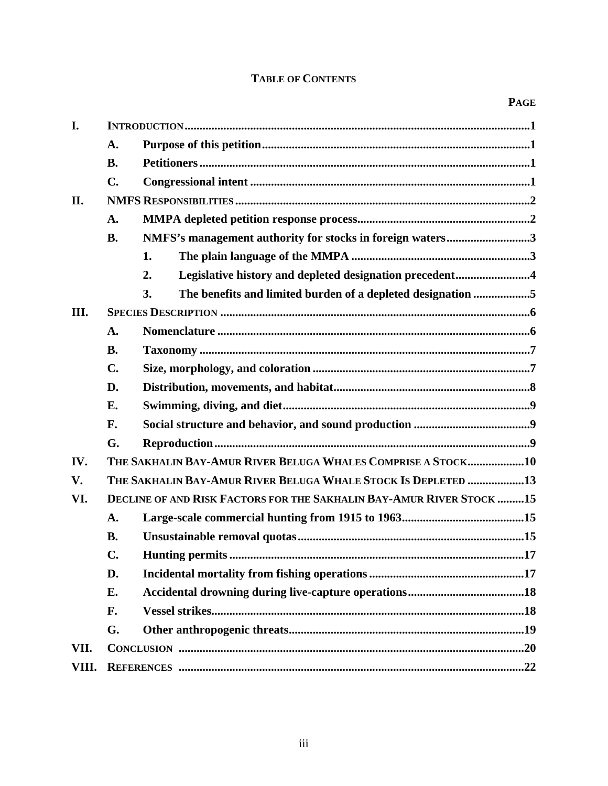# **TABLE OF CONTENTS**

| I.    |                                                                      |                                                                   |  |  |  |  |  |  |  |  |  |
|-------|----------------------------------------------------------------------|-------------------------------------------------------------------|--|--|--|--|--|--|--|--|--|
|       | A.                                                                   |                                                                   |  |  |  |  |  |  |  |  |  |
|       | <b>B.</b>                                                            |                                                                   |  |  |  |  |  |  |  |  |  |
|       | $\mathbf{C}$ .                                                       |                                                                   |  |  |  |  |  |  |  |  |  |
| II.   |                                                                      |                                                                   |  |  |  |  |  |  |  |  |  |
|       | A.                                                                   |                                                                   |  |  |  |  |  |  |  |  |  |
|       | <b>B.</b>                                                            | NMFS's management authority for stocks in foreign waters3         |  |  |  |  |  |  |  |  |  |
|       |                                                                      | 1.                                                                |  |  |  |  |  |  |  |  |  |
|       |                                                                      | Legislative history and depleted designation precedent4<br>2.     |  |  |  |  |  |  |  |  |  |
|       |                                                                      | 3.<br>The benefits and limited burden of a depleted designation 5 |  |  |  |  |  |  |  |  |  |
| III.  |                                                                      |                                                                   |  |  |  |  |  |  |  |  |  |
|       | A.                                                                   |                                                                   |  |  |  |  |  |  |  |  |  |
|       | <b>B.</b>                                                            |                                                                   |  |  |  |  |  |  |  |  |  |
|       | $\mathbf{C}$ .                                                       |                                                                   |  |  |  |  |  |  |  |  |  |
|       | D.                                                                   |                                                                   |  |  |  |  |  |  |  |  |  |
|       | E.                                                                   |                                                                   |  |  |  |  |  |  |  |  |  |
|       | F.                                                                   |                                                                   |  |  |  |  |  |  |  |  |  |
|       | G.                                                                   |                                                                   |  |  |  |  |  |  |  |  |  |
| IV.   |                                                                      | THE SAKHALIN BAY-AMUR RIVER BELUGA WHALES COMPRISE A STOCK10      |  |  |  |  |  |  |  |  |  |
| V.    |                                                                      | THE SAKHALIN BAY-AMUR RIVER BELUGA WHALE STOCK IS DEPLETED 13     |  |  |  |  |  |  |  |  |  |
| VI.   | DECLINE OF AND RISK FACTORS FOR THE SAKHALIN BAY-AMUR RIVER STOCK 15 |                                                                   |  |  |  |  |  |  |  |  |  |
|       | A.                                                                   |                                                                   |  |  |  |  |  |  |  |  |  |
|       | <b>B.</b>                                                            |                                                                   |  |  |  |  |  |  |  |  |  |
|       | C.                                                                   |                                                                   |  |  |  |  |  |  |  |  |  |
|       | D.                                                                   |                                                                   |  |  |  |  |  |  |  |  |  |
|       | E.                                                                   |                                                                   |  |  |  |  |  |  |  |  |  |
|       | F.                                                                   |                                                                   |  |  |  |  |  |  |  |  |  |
|       | G.                                                                   |                                                                   |  |  |  |  |  |  |  |  |  |
| VII.  |                                                                      |                                                                   |  |  |  |  |  |  |  |  |  |
| VIII. |                                                                      |                                                                   |  |  |  |  |  |  |  |  |  |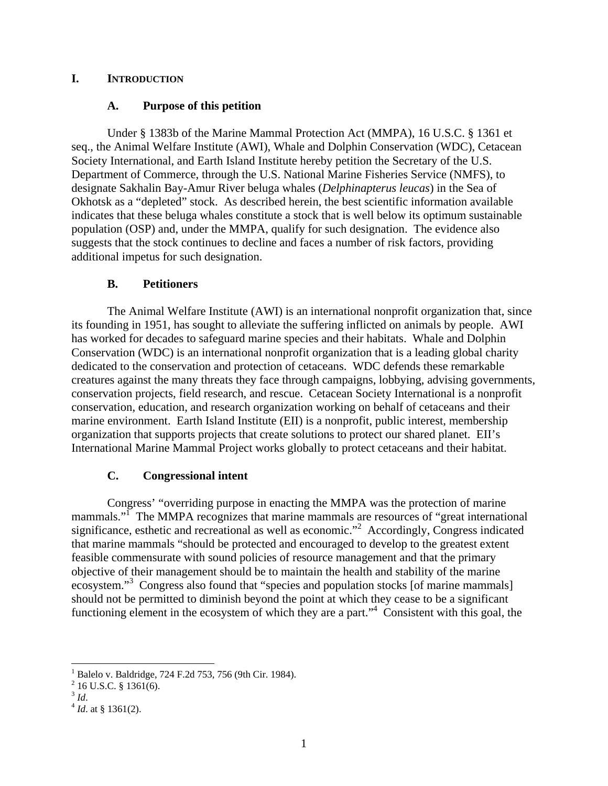# **I. INTRODUCTION**

# **A. Purpose of this petition**

Under § 1383b of the Marine Mammal Protection Act (MMPA), 16 U.S.C. § 1361 et seq., the Animal Welfare Institute (AWI), Whale and Dolphin Conservation (WDC), Cetacean Society International, and Earth Island Institute hereby petition the Secretary of the U.S. Department of Commerce, through the U.S. National Marine Fisheries Service (NMFS), to designate Sakhalin Bay-Amur River beluga whales (*Delphinapterus leucas*) in the Sea of Okhotsk as a "depleted" stock. As described herein, the best scientific information available indicates that these beluga whales constitute a stock that is well below its optimum sustainable population (OSP) and, under the MMPA, qualify for such designation. The evidence also suggests that the stock continues to decline and faces a number of risk factors, providing additional impetus for such designation.

# **B. Petitioners**

The Animal Welfare Institute (AWI) is an international nonprofit organization that, since its founding in 1951, has sought to alleviate the suffering inflicted on animals by people. AWI has worked for decades to safeguard marine species and their habitats. Whale and Dolphin Conservation (WDC) is an international nonprofit organization that is a leading global charity dedicated to the conservation and protection of cetaceans. WDC defends these remarkable creatures against the many threats they face through campaigns, lobbying, advising governments, conservation projects, field research, and rescue. Cetacean Society International is a nonprofit conservation, education, and research organization working on behalf of cetaceans and their marine environment. Earth Island Institute (EII) is a nonprofit, public interest, membership organization that supports projects that create solutions to protect our shared planet. EII's International Marine Mammal Project works globally to protect cetaceans and their habitat.

# **C. Congressional intent**

Congress' "overriding purpose in enacting the MMPA was the protection of marine mammals."<sup>I</sup> The MMPA recognizes that marine mammals are resources of "great international significance, esthetic and recreational as well as economic."<sup>2</sup> Accordingly, Congress indicated that marine mammals "should be protected and encouraged to develop to the greatest extent feasible commensurate with sound policies of resource management and that the primary objective of their management should be to maintain the health and stability of the marine ecosystem."<sup>3</sup> Congress also found that "species and population stocks [of marine mammals] should not be permitted to diminish beyond the point at which they cease to be a significant functioning element in the ecosystem of which they are a part."<sup>4</sup> Consistent with this goal, the

 1 Balelo v. Baldridge, 724 F.2d 753, 756 (9th Cir. 1984).

 $^{2}$  16 U.S.C. § 1361(6).

 $^{3}$  *Id.* 4 *Id.* at § 1361(2).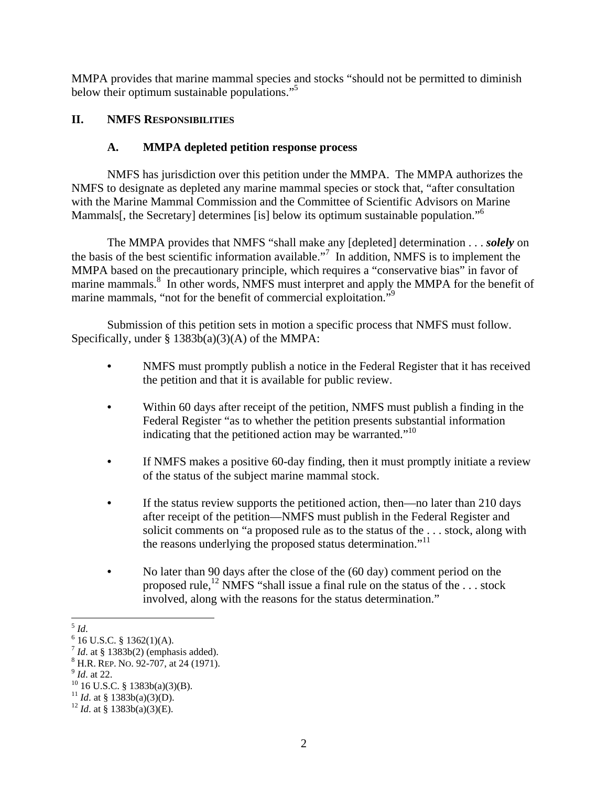MMPA provides that marine mammal species and stocks "should not be permitted to diminish below their optimum sustainable populations."<sup>5</sup>

# **II. NMFS RESPONSIBILITIES**

# **A. MMPA depleted petition response process**

NMFS has jurisdiction over this petition under the MMPA. The MMPA authorizes the NMFS to designate as depleted any marine mammal species or stock that, "after consultation with the Marine Mammal Commission and the Committee of Scientific Advisors on Marine Mammals[, the Secretary] determines [is] below its optimum sustainable population."<sup>6</sup>

The MMPA provides that NMFS "shall make any [depleted] determination . . . *solely* on the basis of the best scientific information available."7 In addition, NMFS is to implement the MMPA based on the precautionary principle, which requires a "conservative bias" in favor of marine mammals.<sup>8</sup> In other words, NMFS must interpret and apply the MMPA for the benefit of marine mammals, "not for the benefit of commercial exploitation."<sup>9</sup>

Submission of this petition sets in motion a specific process that NMFS must follow. Specifically, under  $\S$  1383b(a)(3)(A) of the MMPA:

- **•** NMFS must promptly publish a notice in the Federal Register that it has received the petition and that it is available for public review.
- **•** Within 60 days after receipt of the petition, NMFS must publish a finding in the Federal Register "as to whether the petition presents substantial information indicating that the petitioned action may be warranted. $"^{10}$
- **•** If NMFS makes a positive 60-day finding, then it must promptly initiate a review of the status of the subject marine mammal stock.
- If the status review supports the petitioned action, then—no later than 210 days after receipt of the petition—NMFS must publish in the Federal Register and solicit comments on "a proposed rule as to the status of the . . . stock, along with the reasons underlying the proposed status determination."<sup>11</sup>
- No later than 90 days after the close of the (60 day) comment period on the proposed rule,<sup>12</sup> NMFS "shall issue a final rule on the status of the ... stock involved, along with the reasons for the status determination."

  $^5$  *Id.* 

 $6$  16 U.S.C. § 1362(1)(A).

<sup>&</sup>lt;sup>7</sup> *Id.* at § 1383b(2) (emphasis added). <sup>8</sup> H.R. REP. No. 92-707, at 24 (1971).

<sup>&</sup>lt;sup>9</sup> *Id.* at 22.<br><sup>10</sup> 16 U.S.C. § 1383b(a)(3)(B).

<sup>&</sup>lt;sup>11</sup> *Id.* at § 1383b(a)(3)(D).<br><sup>12</sup> *Id.* at § 1383b(a)(3)(E).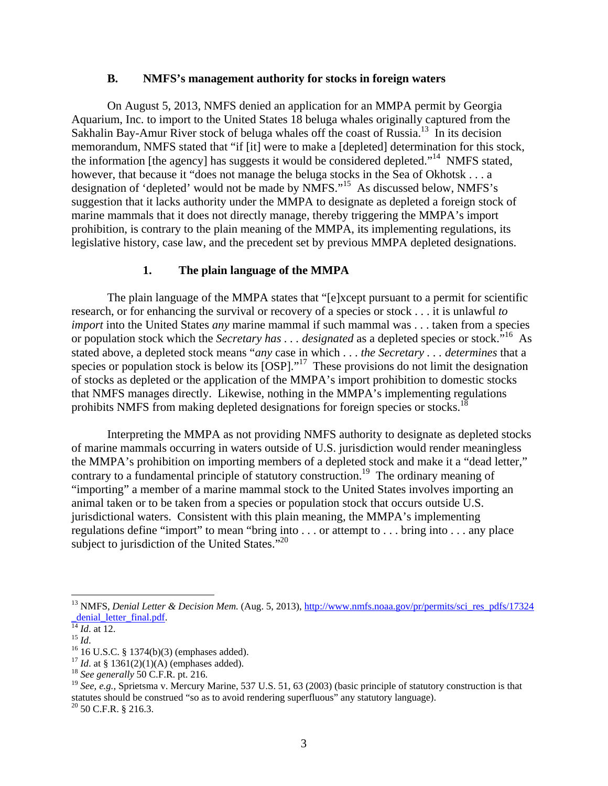#### **B. NMFS's management authority for stocks in foreign waters**

On August 5, 2013, NMFS denied an application for an MMPA permit by Georgia Aquarium, Inc. to import to the United States 18 beluga whales originally captured from the Sakhalin Bay-Amur River stock of beluga whales off the coast of Russia.<sup>13</sup> In its decision memorandum, NMFS stated that "if [it] were to make a [depleted] determination for this stock, the information [the agency] has suggests it would be considered depleted."<sup>14</sup> NMFS stated, however, that because it "does not manage the beluga stocks in the Sea of Okhotsk . . . a designation of 'depleted' would not be made by NMFS."15 As discussed below, NMFS's suggestion that it lacks authority under the MMPA to designate as depleted a foreign stock of marine mammals that it does not directly manage, thereby triggering the MMPA's import prohibition, is contrary to the plain meaning of the MMPA, its implementing regulations, its legislative history, case law, and the precedent set by previous MMPA depleted designations.

#### **1. The plain language of the MMPA**

The plain language of the MMPA states that "[e]xcept pursuant to a permit for scientific research, or for enhancing the survival or recovery of a species or stock . . . it is unlawful *to import* into the United States *any* marine mammal if such mammal was . . . taken from a species or population stock which the *Secretary has . . . designated* as a depleted species or stock."16 As stated above, a depleted stock means "*any* case in which . . . *the Secretary . . . determines* that a species or population stock is below its  $[OSP]$ ."<sup>17</sup> These provisions do not limit the designation of stocks as depleted or the application of the MMPA's import prohibition to domestic stocks that NMFS manages directly. Likewise, nothing in the MMPA's implementing regulations prohibits NMFS from making depleted designations for foreign species or stocks.<sup>18</sup>

Interpreting the MMPA as not providing NMFS authority to designate as depleted stocks of marine mammals occurring in waters outside of U.S. jurisdiction would render meaningless the MMPA's prohibition on importing members of a depleted stock and make it a "dead letter," contrary to a fundamental principle of statutory construction.<sup>19</sup> The ordinary meaning of "importing" a member of a marine mammal stock to the United States involves importing an animal taken or to be taken from a species or population stock that occurs outside U.S. jurisdictional waters. Consistent with this plain meaning, the MMPA's implementing regulations define "import" to mean "bring into . . . or attempt to . . . bring into . . . any place subject to jurisdiction of the United States."<sup>20</sup>

<sup>&</sup>lt;sup>13</sup> NMFS, *Denial Letter & Decision Mem.* (Aug. 5, 2013), *http://www.nmfs.noaa.gov/pr/permits/sci\_res\_pdfs/17324* denial letter final.pdf.

<sup>&</sup>lt;sup>14</sup> *Id.* at 12. <sup>15</sup> *Id.* 16 *Id.* 16 U.S.C. § 1374(b)(3) (emphases added).

<sup>17</sup> *Id*. at § 1361(2)(1)(A) (emphases added). 18 *See generally* 50 C.F.R. pt. 216.

<sup>&</sup>lt;sup>19</sup> See, e.g., Sprietsma v. Mercury Marine, 537 U.S. 51, 63 (2003) (basic principle of statutory construction is that statutes should be construed "so as to avoid rendering superfluous" any statutory language).

<sup>20 50</sup> C.F.R. § 216.3.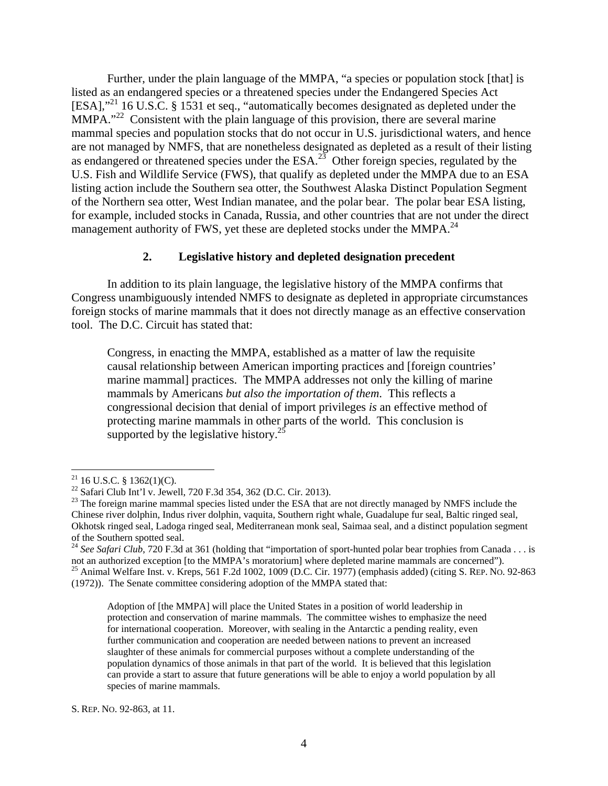Further, under the plain language of the MMPA, "a species or population stock [that] is listed as an endangered species or a threatened species under the Endangered Species Act [ESA],"<sup>21</sup> 16 U.S.C. § 1531 et seq., "automatically becomes designated as depleted under the  $MMPA.$ <sup>22</sup> Consistent with the plain language of this provision, there are several marine mammal species and population stocks that do not occur in U.S. jurisdictional waters, and hence are not managed by NMFS, that are nonetheless designated as depleted as a result of their listing as endangered or threatened species under the ESA.<sup>23</sup> Other foreign species, regulated by the U.S. Fish and Wildlife Service (FWS), that qualify as depleted under the MMPA due to an ESA listing action include the Southern sea otter, the Southwest Alaska Distinct Population Segment of the Northern sea otter, West Indian manatee, and the polar bear. The polar bear ESA listing, for example, included stocks in Canada, Russia, and other countries that are not under the direct management authority of FWS, yet these are depleted stocks under the MMPA.<sup>24</sup>

# **2. Legislative history and depleted designation precedent**

In addition to its plain language, the legislative history of the MMPA confirms that Congress unambiguously intended NMFS to designate as depleted in appropriate circumstances foreign stocks of marine mammals that it does not directly manage as an effective conservation tool. The D.C. Circuit has stated that:

Congress, in enacting the MMPA, established as a matter of law the requisite causal relationship between American importing practices and [foreign countries' marine mammal] practices. The MMPA addresses not only the killing of marine mammals by Americans *but also the importation of them*. This reflects a congressional decision that denial of import privileges *is* an effective method of protecting marine mammals in other parts of the world. This conclusion is supported by the legislative history.<sup>25</sup>

 

S. REP. NO. 92-863, at 11.

 $21$  16 U.S.C. § 1362(1)(C).

<sup>22</sup> Safari Club Int'l v. Jewell, 720 F.3d 354, 362 (D.C. Cir. 2013).

<sup>&</sup>lt;sup>23</sup> The foreign marine mammal species listed under the ESA that are not directly managed by NMFS include the Chinese river dolphin, Indus river dolphin, vaquita, Southern right whale, Guadalupe fur seal, Baltic ringed seal, Okhotsk ringed seal, Ladoga ringed seal, Mediterranean monk seal, Saimaa seal, and a distinct population segment of the Southern spotted seal.

<sup>&</sup>lt;sup>24</sup> See Safari Club, 720 F.3d at 361 (holding that "importation of sport-hunted polar bear trophies from Canada . . . is not an authorized exception [to the MMPA's moratorium] where depleted marine mammals are concerned").<br><sup>25</sup> Animal Welfare Inst. v. Kreps, 561 F.2d 1002, 1009 (D.C. Cir. 1977) (emphasis added) (citing S. REP. No. 92-863 (1972)). The Senate committee considering adoption of the MMPA stated that:

Adoption of [the MMPA] will place the United States in a position of world leadership in protection and conservation of marine mammals. The committee wishes to emphasize the need for international cooperation. Moreover, with sealing in the Antarctic a pending reality, even further communication and cooperation are needed between nations to prevent an increased slaughter of these animals for commercial purposes without a complete understanding of the population dynamics of those animals in that part of the world. It is believed that this legislation can provide a start to assure that future generations will be able to enjoy a world population by all species of marine mammals.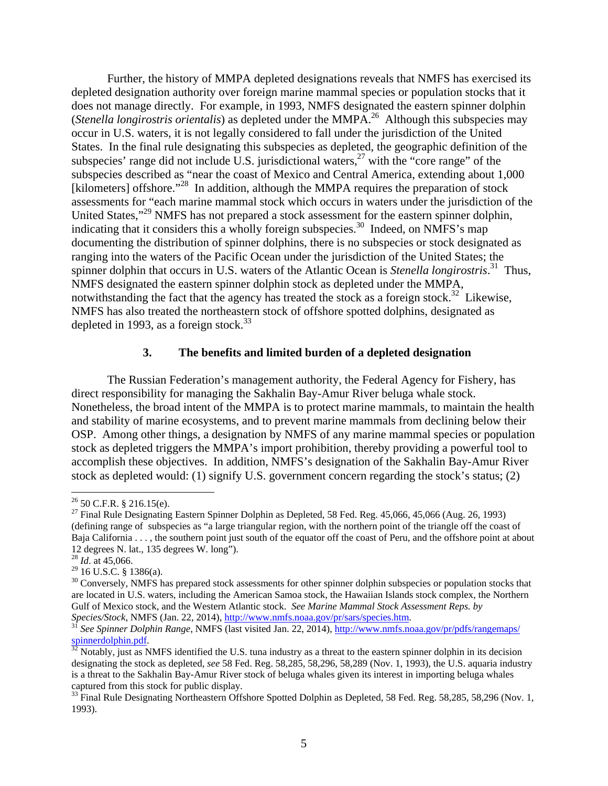Further, the history of MMPA depleted designations reveals that NMFS has exercised its depleted designation authority over foreign marine mammal species or population stocks that it does not manage directly. For example, in 1993, NMFS designated the eastern spinner dolphin (*Stenella longirostris orientalis*) as depleted under the MMPA.26 Although this subspecies may occur in U.S. waters, it is not legally considered to fall under the jurisdiction of the United States. In the final rule designating this subspecies as depleted, the geographic definition of the subspecies' range did not include U.S. jurisdictional waters,  $27$  with the "core range" of the subspecies described as "near the coast of Mexico and Central America, extending about 1,000 [kilometers] offshore."<sup>28</sup> In addition, although the MMPA requires the preparation of stock assessments for "each marine mammal stock which occurs in waters under the jurisdiction of the United States,"29 NMFS has not prepared a stock assessment for the eastern spinner dolphin, indicating that it considers this a wholly foreign subspecies.<sup>30</sup> Indeed, on NMFS's map documenting the distribution of spinner dolphins, there is no subspecies or stock designated as ranging into the waters of the Pacific Ocean under the jurisdiction of the United States; the spinner dolphin that occurs in U.S. waters of the Atlantic Ocean is *Stenella longirostris*. 31 Thus, NMFS designated the eastern spinner dolphin stock as depleted under the MMPA, notwithstanding the fact that the agency has treated the stock as a foreign stock.<sup>32</sup> Likewise, NMFS has also treated the northeastern stock of offshore spotted dolphins, designated as depleted in 1993, as a foreign stock.<sup>33</sup>

#### **3. The benefits and limited burden of a depleted designation**

The Russian Federation's management authority, the Federal Agency for Fishery, has direct responsibility for managing the Sakhalin Bay-Amur River beluga whale stock. Nonetheless, the broad intent of the MMPA is to protect marine mammals, to maintain the health and stability of marine ecosystems, and to prevent marine mammals from declining below their OSP. Among other things, a designation by NMFS of any marine mammal species or population stock as depleted triggers the MMPA's import prohibition, thereby providing a powerful tool to accomplish these objectives. In addition, NMFS's designation of the Sakhalin Bay-Amur River stock as depleted would: (1) signify U.S. government concern regarding the stock's status; (2)

 $26$  50 C.F.R. § 216.15(e).

 $27$  Final Rule Designating Eastern Spinner Dolphin as Depleted, 58 Fed. Reg. 45,066, 45,066 (Aug. 26, 1993) (defining range of subspecies as "a large triangular region, with the northern point of the triangle off the coast of Baja California . . . , the southern point just south of the equator off the coast of Peru, and the offshore point at about 12 degrees N. lat., 135 degrees W. long").

<sup>28</sup> *Id*. at 45,066.

 $^{29}$  16 U.S.C. § 1386(a).

<sup>&</sup>lt;sup>30</sup> Conversely, NMFS has prepared stock assessments for other spinner dolphin subspecies or population stocks that are located in U.S. waters, including the American Samoa stock, the Hawaiian Islands stock complex, the Northern Gulf of Mexico stock, and the Western Atlantic stock. *See Marine Mammal Stock Assessment Reps. by Species/Stock*, NMFS (Jan. 22, 2014), http://www.nmfs.noaa.gov/pr/sars/species.htm.

*See Spinner Dolphin Range*, NMFS (last visited Jan. 22, 2014), http://www.nmfs.noaa.gov/pr/pdfs/rangemaps/ spinnerdolphin.pdf.<br><sup>32</sup> Notably, just as NMFS identified the U.S. tuna industry as a threat to the eastern spinner dolphin in its decision

designating the stock as depleted, *see* 58 Fed. Reg. 58,285, 58,296, 58,289 (Nov. 1, 1993), the U.S. aquaria industry is a threat to the Sakhalin Bay-Amur River stock of beluga whales given its interest in importing beluga whales captured from this stock for public display.

<sup>&</sup>lt;sup>33</sup> Final Rule Designating Northeastern Offshore Spotted Dolphin as Depleted, 58 Fed. Reg. 58,285, 58,296 (Nov. 1, 1993).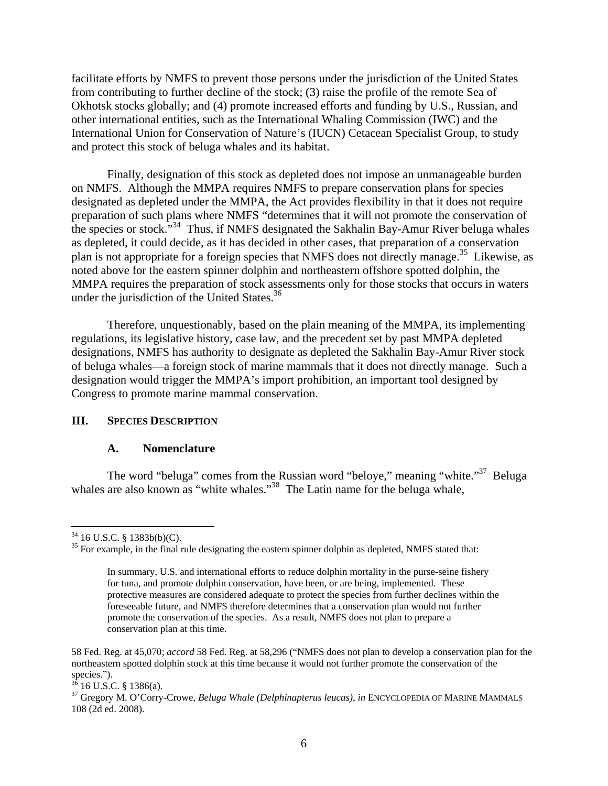facilitate efforts by NMFS to prevent those persons under the jurisdiction of the United States from contributing to further decline of the stock; (3) raise the profile of the remote Sea of Okhotsk stocks globally; and (4) promote increased efforts and funding by U.S., Russian, and other international entities, such as the International Whaling Commission (IWC) and the International Union for Conservation of Nature's (IUCN) Cetacean Specialist Group, to study and protect this stock of beluga whales and its habitat.

Finally, designation of this stock as depleted does not impose an unmanageable burden on NMFS. Although the MMPA requires NMFS to prepare conservation plans for species designated as depleted under the MMPA, the Act provides flexibility in that it does not require preparation of such plans where NMFS "determines that it will not promote the conservation of the species or stock."<sup>34</sup> Thus, if NMFS designated the Sakhalin Bay-Amur River beluga whales as depleted, it could decide, as it has decided in other cases, that preparation of a conservation plan is not appropriate for a foreign species that NMFS does not directly manage.<sup>35</sup> Likewise, as noted above for the eastern spinner dolphin and northeastern offshore spotted dolphin, the MMPA requires the preparation of stock assessments only for those stocks that occurs in waters under the jurisdiction of the United States.<sup>36</sup>

Therefore, unquestionably, based on the plain meaning of the MMPA, its implementing regulations, its legislative history, case law, and the precedent set by past MMPA depleted designations, NMFS has authority to designate as depleted the Sakhalin Bay-Amur River stock of beluga whales—a foreign stock of marine mammals that it does not directly manage. Such a designation would trigger the MMPA's import prohibition, an important tool designed by Congress to promote marine mammal conservation.

### **III. SPECIES DESCRIPTION**

#### **A. Nomenclature**

The word "beluga" comes from the Russian word "beloye," meaning "white."<sup>37</sup> Beluga whales are also known as "white whales."<sup>38</sup> The Latin name for the beluga whale,

 $34$  16 U.S.C. § 1383b(b)(C).

 $35$  For example, in the final rule designating the eastern spinner dolphin as depleted, NMFS stated that:

In summary, U.S. and international efforts to reduce dolphin mortality in the purse-seine fishery for tuna, and promote dolphin conservation, have been, or are being, implemented. These protective measures are considered adequate to protect the species from further declines within the foreseeable future, and NMFS therefore determines that a conservation plan would not further promote the conservation of the species. As a result, NMFS does not plan to prepare a conservation plan at this time.

<sup>58</sup> Fed. Reg. at 45,070; *accord* 58 Fed. Reg. at 58,296 ("NMFS does not plan to develop a conservation plan for the northeastern spotted dolphin stock at this time because it would not further promote the conservation of the species.").

 $36$  16 U.S.C. § 1386(a).

<sup>37</sup> Gregory M. O'Corry-Crowe, *Beluga Whale (Delphinapterus leucas)*, *in* ENCYCLOPEDIA OF MARINE MAMMALS 108 (2d ed. 2008).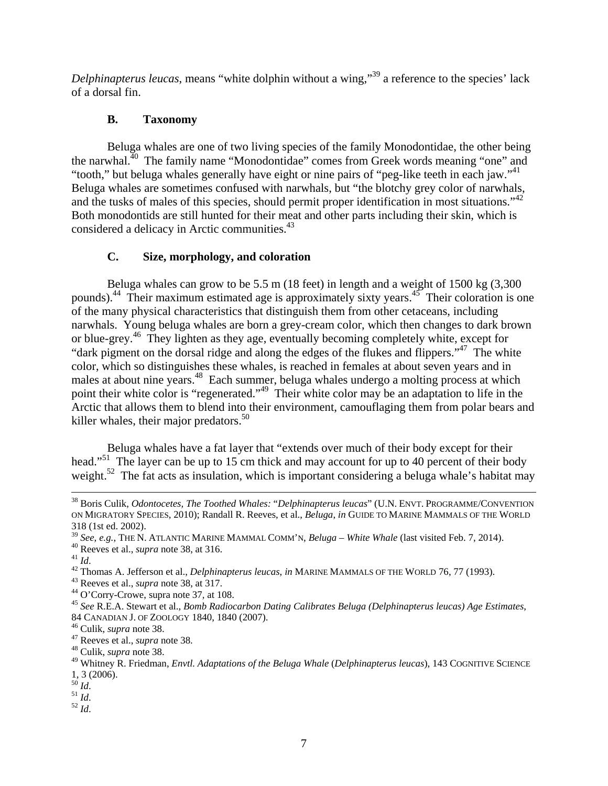*Delphinapterus leucas*, means "white dolphin without a wing,"<sup>39</sup> a reference to the species' lack of a dorsal fin.

# **B. Taxonomy**

Beluga whales are one of two living species of the family Monodontidae, the other being the narwhal.40 The family name "Monodontidae" comes from Greek words meaning "one" and "tooth," but beluga whales generally have eight or nine pairs of "peg-like teeth in each jaw."<sup>41</sup> Beluga whales are sometimes confused with narwhals, but "the blotchy grey color of narwhals, and the tusks of males of this species, should permit proper identification in most situations."<sup>42</sup> Both monodontids are still hunted for their meat and other parts including their skin, which is considered a delicacy in Arctic communities.<sup>43</sup>

# **C. Size, morphology, and coloration**

Beluga whales can grow to be 5.5 m (18 feet) in length and a weight of 1500 kg (3,300 pounds).<sup>44</sup> Their maximum estimated age is approximately sixty years.<sup>45</sup> Their coloration is one of the many physical characteristics that distinguish them from other cetaceans, including narwhals. Young beluga whales are born a grey-cream color, which then changes to dark brown or blue-grey.<sup>46</sup> They lighten as they age, eventually becoming completely white, except for "dark pigment on the dorsal ridge and along the edges of the flukes and flippers."47 The white color, which so distinguishes these whales, is reached in females at about seven years and in males at about nine years.<sup>48</sup> Each summer, beluga whales undergo a molting process at which point their white color is "regenerated."<sup>49</sup> Their white color may be an adaptation to life in the Arctic that allows them to blend into their environment, camouflaging them from polar bears and killer whales, their major predators. $50<sup>50</sup>$ 

Beluga whales have a fat layer that "extends over much of their body except for their head."<sup>51</sup> The layer can be up to 15 cm thick and may account for up to 40 percent of their body weight.<sup>52</sup> The fat acts as insulation, which is important considering a beluga whale's habitat may

 38 Boris Culik, *Odontocetes, The Toothed Whales:* "*Delphinapterus leucas*" (U.N. ENVT. PROGRAMME/CONVENTION ON MIGRATORY SPECIES, 2010); Randall R. Reeves, et al., *Beluga*, *in* GUIDE TO MARINE MAMMALS OF THE WORLD 318 (1st ed. 2002).<br><sup>39</sup> See, e.g., THE N. ATLANTIC MARINE MAMMAL COMM'N, *Beluga – White Whale* (last visited Feb. 7, 2014).

<sup>&</sup>lt;sup>40</sup> Reeves et al., *supra* note 38, at 316.<br><sup>41</sup> Id.<br><sup>42</sup> Thomas A. Jefferson et al., *Delphinapterus leucas*, *in* MARINE MAMMALS OF THE WORLD 76, 77 (1993).<br><sup>43</sup> Reeves et al., *supra* note 38, at 317.<br><sup>44</sup> O'Corry-Cro

<sup>45</sup> *See* R.E.A. Stewart et al., *Bomb Radiocarbon Dating Calibrates Beluga (Delphinapterus leucas) Age Estimates*, 84 CANADIAN J. OF ZOOLOGY 1840, 1840 (2007). 46 Culik, *supra* note 38. 47 Reeves et al., *supra* note 38. 48 Culik, *supra* note 38.

<sup>49</sup> Whitney R. Friedman, *Envtl. Adaptations of the Beluga Whale* (*Delphinapterus leucas*), 143 COGNITIVE SCIENCE  $\frac{1}{50}$ , 3 (2006).<br> $\frac{1}{4}$ 

 $\frac{51}{52}$  *Id.*  $\frac{52}{1}$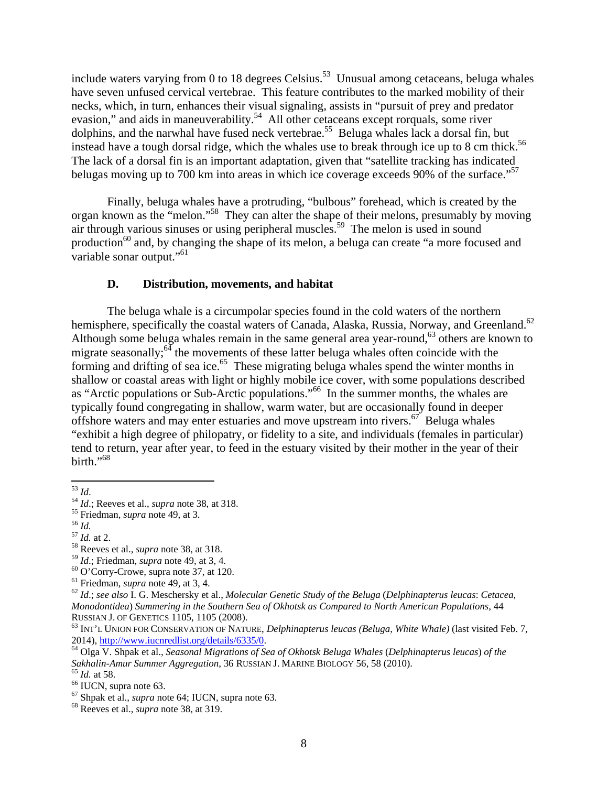include waters varying from 0 to 18 degrees Celsius.<sup>53</sup> Unusual among cetaceans, beluga whales have seven unfused cervical vertebrae. This feature contributes to the marked mobility of their necks, which, in turn, enhances their visual signaling, assists in "pursuit of prey and predator evasion," and aids in maneuverability.<sup>54</sup> All other cetaceans except rorquals, some river dolphins, and the narwhal have fused neck vertebrae.<sup>55</sup> Beluga whales lack a dorsal fin, but instead have a tough dorsal ridge, which the whales use to break through ice up to 8 cm thick.<sup>56</sup> The lack of a dorsal fin is an important adaptation, given that "satellite tracking has indicated belugas moving up to 700 km into areas in which ice coverage exceeds 90% of the surface."<sup>57</sup>

Finally, beluga whales have a protruding, "bulbous" forehead, which is created by the organ known as the "melon."58 They can alter the shape of their melons, presumably by moving air through various sinuses or using peripheral muscles.<sup>59</sup> The melon is used in sound production<sup>60</sup> and, by changing the shape of its melon, a beluga can create "a more focused and variable sonar output."<sup>61</sup>

## **D. Distribution, movements, and habitat**

The beluga whale is a circumpolar species found in the cold waters of the northern hemisphere, specifically the coastal waters of Canada, Alaska, Russia, Norway, and Greenland.<sup>62</sup> Although some beluga whales remain in the same general area year-round,<sup>63</sup> others are known to migrate seasonally; $64$  the movements of these latter beluga whales often coincide with the forming and drifting of sea ice.<sup>65</sup> These migrating beluga whales spend the winter months in shallow or coastal areas with light or highly mobile ice cover, with some populations described as "Arctic populations or Sub-Arctic populations."66 In the summer months, the whales are typically found congregating in shallow, warm water, but are occasionally found in deeper offshore waters and may enter estuaries and move upstream into rivers.<sup>67</sup> Beluga whales "exhibit a high degree of philopatry, or fidelity to a site, and individuals (females in particular) tend to return, year after year, to feed in the estuary visited by their mother in the year of their birth." $68$ 

<sup>&</sup>lt;sup>53</sup> *Id.*; Reeves et al., *supra* note 38, at 318.<br><sup>55</sup> Friedman, *supra* note 49, at 3.<br><sup>57</sup> *Id.* at 2.<br><sup>58</sup> Reeves et al., *supra* note 38, at 318.<br><sup>59</sup> *Id.*; Friedman, *supra* note 49, at 3, 4.

<sup>&</sup>lt;sup>60</sup> O'Corry-Crowe, supra note 37, at 120.<br><sup>61</sup> Friedman, *supra* note 49, at 3, 4.

<sup>61</sup> Friedman, *supra* note 49, at 3, 4. 62 *Id*.; *see also* I. G. Meschersky et al., *Molecular Genetic Study of the Beluga* (*Delphinapterus leucas*: *Cetacea, Monodontidea*) *Summering in the Southern Sea of Okhotsk as Compared to North American Populations*, 44

RUSSIAN J. OF GENETICS 1105, 1105 (2008).<br><sup>63</sup> INT'L UNION FOR CONSERVATION OF NATURE, *Delphinapterus leucas (Beluga, White Whale)* (last visited Feb. 7, 2014), http://www.iucnredlist.org/details/6335/0.

<sup>&</sup>lt;sup>64</sup> Olga V. Shpak et al., *Seasonal Migrations of Sea of Okhotsk Beluga Whales (Delphinapterus leucas) of the Sakhalin-Amur Summer Aggregation*, 36 RUSSIAN J. MARINE BIOLOGY 56, 58 (2010). 65 *Id.* at 58. 66 IUCN, supra note 63.

<sup>67</sup> Shpak et al., *supra* note 64; IUCN, supra note 63. 68 Reeves et al., *supra* note 38, at 319.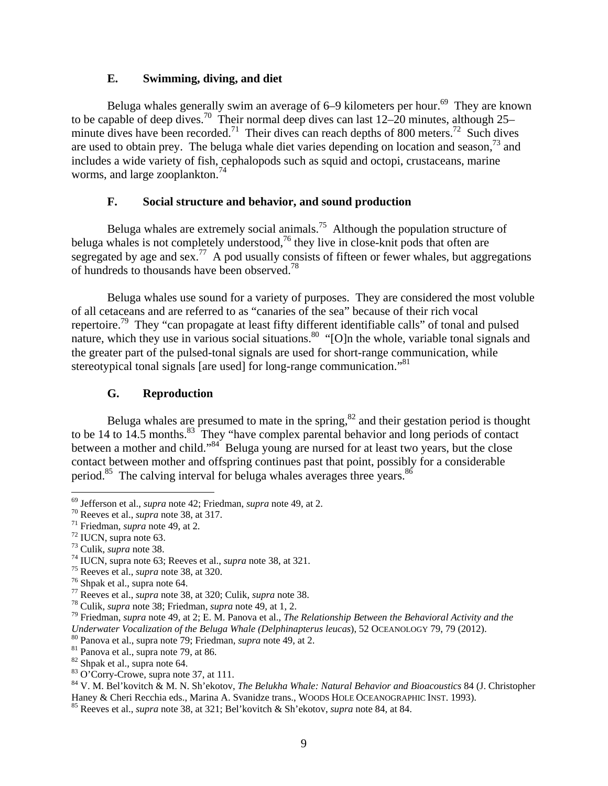### **E. Swimming, diving, and diet**

Beluga whales generally swim an average of 6–9 kilometers per hour.<sup>69</sup> They are known to be capable of deep dives.<sup>70</sup> Their normal deep dives can last  $12-20$  minutes, although  $25$ minute dives have been recorded.<sup>71</sup> Their dives can reach depths of 800 meters.<sup>72</sup> Such dives are used to obtain prey. The beluga whale diet varies depending on location and season,  $73$  and includes a wide variety of fish, cephalopods such as squid and octopi, crustaceans, marine worms, and large zooplankton.<sup>74</sup>

## **F. Social structure and behavior, and sound production**

Beluga whales are extremely social animals.<sup>75</sup> Although the population structure of beluga whales is not completely understood,<sup>76</sup> they live in close-knit pods that often are segregated by age and  $\sec^7$ . A pod usually consists of fifteen or fewer whales, but aggregations of hundreds to thousands have been observed.<sup>78</sup>

Beluga whales use sound for a variety of purposes. They are considered the most voluble of all cetaceans and are referred to as "canaries of the sea" because of their rich vocal repertoire.<sup>79</sup> They "can propagate at least fifty different identifiable calls" of tonal and pulsed nature, which they use in various social situations.<sup>80</sup> "[O]n the whole, variable tonal signals and the greater part of the pulsed-tonal signals are used for short-range communication, while stereotypical tonal signals [are used] for long-range communication.<sup>81</sup>

## **G. Reproduction**

Beluga whales are presumed to mate in the spring, $82$  and their gestation period is thought to be 14 to 14.5 months.<sup>83</sup> They "have complex parental behavior and long periods of contact between a mother and child."<sup>84</sup> Beluga young are nursed for at least two years, but the close contact between mother and offspring continues past that point, possibly for a considerable period.<sup>85</sup> The calving interval for beluga whales averages three years.<sup>86</sup>

<sup>&</sup>lt;sup>69</sup> Jefferson et al., *supra* note 42; Friedman, *supra* note 49, at 2.<br><sup>70</sup> Reeves et al., *supra* note 38, at 317.<br><sup>71</sup> Friedman, *supra* note 49, at 2.<br><sup>72</sup> IUCN, supra note 63.<br><sup>73</sup> Culik, *supra* note 38.

<sup>&</sup>lt;sup>74</sup> IUCN, supra note 63; Reeves et al., *supra* note 38, at 321.<br><sup>75</sup> Reeves et al., *supra* note 38, at 320.<br><sup>76</sup> Shpak et al., *supra* note 64.

<sup>&</sup>lt;sup>77</sup> Reeves et al., *supra* note 38, at 320; Culik, *supra* note 38.<br><sup>78</sup> Culik, *supra* note 38; Friedman, *supra* note 49, at 1, 2.<br><sup>79</sup> Friedman, *supra* note 49, at 2; E. M. Panova et al., *The Relationship Between th Underwater Vocalization of the Beluga Whale (Delphinapterus leucas)*, 52 OCEANOLOGY 79, 79 (2012).<br><sup>80</sup> Panova et al., supra note 79; Friedman, *supra* note 49, at 2.<br><sup>81</sup> Panova et al., supra note 79, at 86.<br><sup>82</sup> Shpak

<sup>83</sup> O'Corry-Crowe, supra note 37, at 111.

<sup>84</sup> V. M. Bel'kovitch & M. N. Sh'ekotov, *The Belukha Whale: Natural Behavior and Bioacoustics* 84 (J. Christopher Haney & Cheri Recchia eds., Marina A. Svanidze trans., WOODS HOLE OCEANOGRAPHIC INST. 1993). 85 Reeves et al., *supra* note 38, at 321; Bel'kovitch & Sh'ekotov, *supra* note 84, at 84.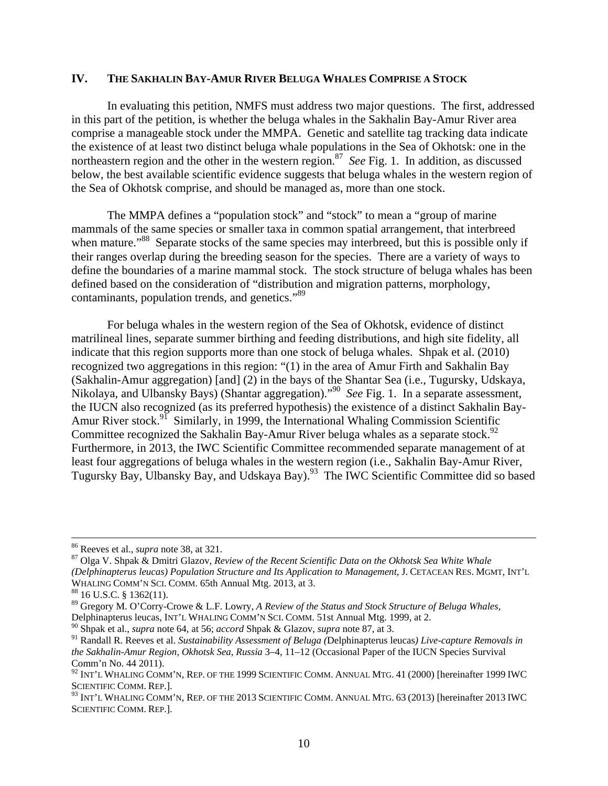## **IV. THE SAKHALIN BAY-AMUR RIVER BELUGA WHALES COMPRISE A STOCK**

In evaluating this petition, NMFS must address two major questions. The first, addressed in this part of the petition, is whether the beluga whales in the Sakhalin Bay-Amur River area comprise a manageable stock under the MMPA. Genetic and satellite tag tracking data indicate the existence of at least two distinct beluga whale populations in the Sea of Okhotsk: one in the northeastern region and the other in the western region.<sup>87</sup> *See* Fig. 1. In addition, as discussed below, the best available scientific evidence suggests that beluga whales in the western region of the Sea of Okhotsk comprise, and should be managed as, more than one stock.

The MMPA defines a "population stock" and "stock" to mean a "group of marine mammals of the same species or smaller taxa in common spatial arrangement, that interbreed when mature."<sup>88</sup> Separate stocks of the same species may interbreed, but this is possible only if their ranges overlap during the breeding season for the species. There are a variety of ways to define the boundaries of a marine mammal stock. The stock structure of beluga whales has been defined based on the consideration of "distribution and migration patterns, morphology, contaminants, population trends, and genetics."89

For beluga whales in the western region of the Sea of Okhotsk, evidence of distinct matrilineal lines, separate summer birthing and feeding distributions, and high site fidelity, all indicate that this region supports more than one stock of beluga whales. Shpak et al. (2010) recognized two aggregations in this region: "(1) in the area of Amur Firth and Sakhalin Bay (Sakhalin-Amur aggregation) [and] (2) in the bays of the Shantar Sea (i.e., Tugursky, Udskaya, Nikolaya, and Ulbansky Bays) (Shantar aggregation)."90 *See* Fig. 1. In a separate assessment, the IUCN also recognized (as its preferred hypothesis) the existence of a distinct Sakhalin Bay-Amur River stock.<sup>91</sup> Similarly, in 1999, the International Whaling Commission Scientific Committee recognized the Sakhalin Bay-Amur River beluga whales as a separate stock.<sup>92</sup> Furthermore, in 2013, the IWC Scientific Committee recommended separate management of at least four aggregations of beluga whales in the western region (i.e., Sakhalin Bay-Amur River, Tugursky Bay, Ulbansky Bay, and Udskaya Bay).<sup>93</sup> The IWC Scientific Committee did so based

<sup>&</sup>lt;sup>86</sup> Reeves et al., *supra* note 38, at 321.<br><sup>87</sup> Olga V. Shpak & Dmitri Glazov, *Review of the Recent Scientific Data on the Okhotsk Sea White Whale (Delphinapterus leucas) Population Structure and Its Application to Management*, J. CETACEAN RES. MGMT, INT'L WHALING COMM'N SCI. COMM. 65th Annual Mtg. 2013, at 3. <sup>88</sup> 16 U.S.C. § 1362(11).

<sup>89</sup> Gregory M. O'Corry-Crowe & L.F. Lowry, *A Review of the Status and Stock Structure of Beluga Whales,*  Delphinapterus leucas, INT'L WHALING COMM'N SCI. COMM. 51st Annual Mtg. 1999, at 2.

<sup>90</sup> Shpak et al., *supra* note 64, at 56; *accord* Shpak & Glazov, *supra* note 87, at 3.

<sup>91</sup> Randall R. Reeves et al. *Sustainability Assessment of Beluga (*Delphinapterus leucas*) Live-capture Removals in the Sakhalin-Amur Region, Okhotsk Sea, Russia* 3–4, 11–12 (Occasional Paper of the IUCN Species Survival Comm'n No. 44 2011).

 $^{92}$  Int'l Whaling Comm'n, Rep. of the 1999 Scientific Comm. Annual Mtg. 41 (2000) [hereinafter 1999 IWC SCIENTIFIC COMM. REP.].

<sup>93</sup> INT'L WHALING COMM'N, REP. OF THE 2013 SCIENTIFIC COMM. ANNUAL MTG. 63 (2013) [hereinafter 2013 IWC SCIENTIFIC COMM. REP.].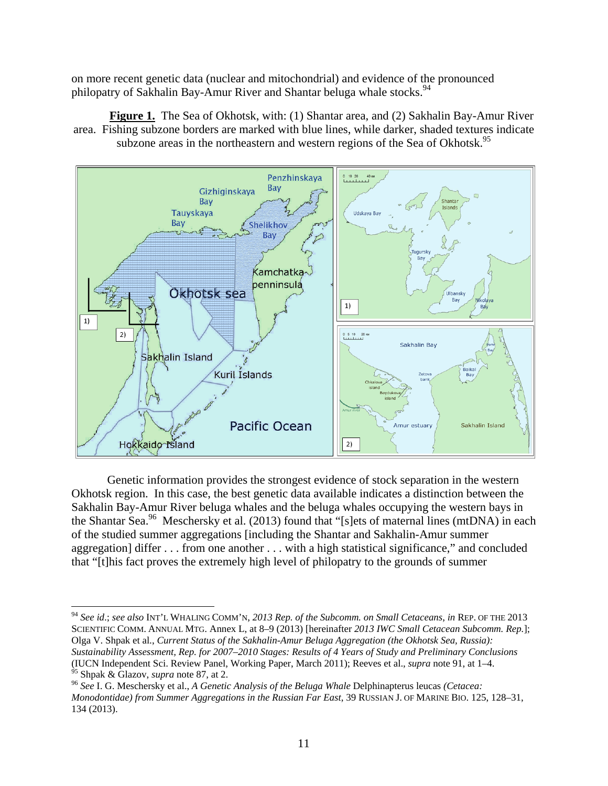on more recent genetic data (nuclear and mitochondrial) and evidence of the pronounced philopatry of Sakhalin Bay-Amur River and Shantar beluga whale stocks.<sup>94</sup>

**Figure 1.** The Sea of Okhotsk, with: (1) Shantar area, and (2) Sakhalin Bay-Amur River area. Fishing subzone borders are marked with blue lines, while darker, shaded textures indicate subzone areas in the northeastern and western regions of the Sea of Okhotsk.<sup>95</sup>



Genetic information provides the strongest evidence of stock separation in the western Okhotsk region. In this case, the best genetic data available indicates a distinction between the Sakhalin Bay-Amur River beluga whales and the beluga whales occupying the western bays in the Shantar Sea.<sup>96</sup> Meschersky et al. (2013) found that "[s]ets of maternal lines (mtDNA) in each of the studied summer aggregations [including the Shantar and Sakhalin-Amur summer aggregation] differ . . . from one another . . . with a high statistical significance," and concluded that "[t]his fact proves the extremely high level of philopatry to the grounds of summer

<sup>94</sup> *See id*.; *see also* INT'L WHALING COMM'N, *2013 Rep. of the Subcomm. on Small Cetaceans*, *in* REP. OF THE 2013 SCIENTIFIC COMM. ANNUAL MTG. Annex L, at 8–9 (2013) [hereinafter *2013 IWC Small Cetacean Subcomm. Rep.*]; Olga V. Shpak et al., *Current Status of the Sakhalin-Amur Beluga Aggregation (the Okhotsk Sea, Russia): Sustainability Assessment, Rep. for 2007–2010 Stages: Results of 4 Years of Study and Preliminary Conclusions* (IUCN Independent Sci. Review Panel, Working Paper, March 2011); Reeves et al., *supra* note 91, at 1–4.

<sup>&</sup>lt;sup>96</sup> See I. G. Meschersky et al., *A Genetic Analysis of the Beluga Whale Delphinapterus leucas (Cetacea: Monodontidae) from Summer Aggregations in the Russian Far East*, 39 RUSSIAN J. OF MARINE BIO. 125, 128–31, 134 (2013).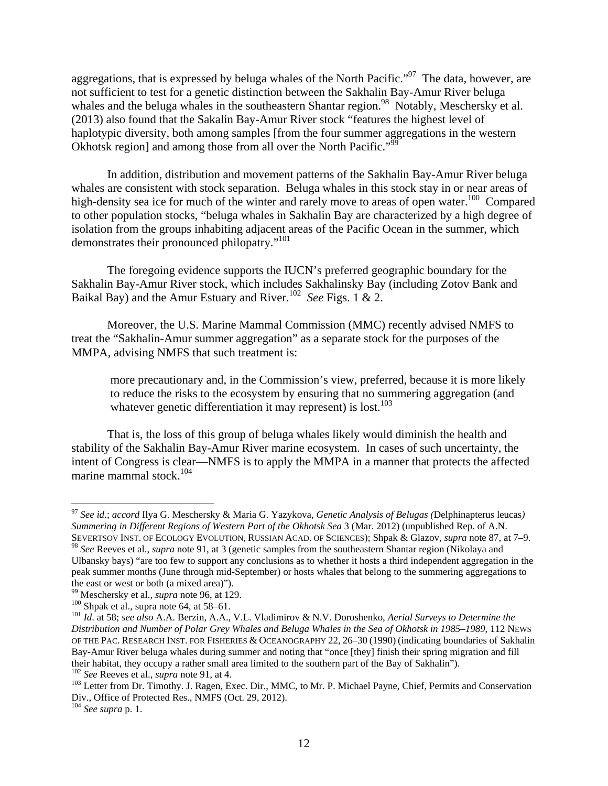aggregations, that is expressed by beluga whales of the North Pacific."<sup>97</sup> The data, however, are not sufficient to test for a genetic distinction between the Sakhalin Bay-Amur River beluga whales and the beluga whales in the southeastern Shantar region.<sup>98</sup> Notably, Meschersky et al. (2013) also found that the Sakalin Bay-Amur River stock "features the highest level of haplotypic diversity, both among samples [from the four summer aggregations in the western Okhotsk region] and among those from all over the North Pacific."<sup>99</sup>

In addition, distribution and movement patterns of the Sakhalin Bay-Amur River beluga whales are consistent with stock separation. Beluga whales in this stock stay in or near areas of high-density sea ice for much of the winter and rarely move to areas of open water.<sup>100</sup> Compared to other population stocks, "beluga whales in Sakhalin Bay are characterized by a high degree of isolation from the groups inhabiting adjacent areas of the Pacific Ocean in the summer, which demonstrates their pronounced philopatry."<sup>101</sup>

The foregoing evidence supports the IUCN's preferred geographic boundary for the Sakhalin Bay-Amur River stock, which includes Sakhalinsky Bay (including Zotov Bank and Baikal Bay) and the Amur Estuary and River.102 *See* Figs. 1 & 2.

Moreover, the U.S. Marine Mammal Commission (MMC) recently advised NMFS to treat the "Sakhalin-Amur summer aggregation" as a separate stock for the purposes of the MMPA, advising NMFS that such treatment is:

more precautionary and, in the Commission's view, preferred, because it is more likely to reduce the risks to the ecosystem by ensuring that no summering aggregation (and whatever genetic differentiation it may represent) is lost.<sup>103</sup>

That is, the loss of this group of beluga whales likely would diminish the health and stability of the Sakhalin Bay-Amur River marine ecosystem. In cases of such uncertainty, the intent of Congress is clear—NMFS is to apply the MMPA in a manner that protects the affected marine mammal stock.<sup>104</sup>

<sup>97</sup> *See id*.; *accord* Ilya G. Meschersky & Maria G. Yazykova, *Genetic Analysis of Belugas (*Delphinapterus leucas*) Summering in Different Regions of Western Part of the Okhotsk Sea* 3 (Mar. 2012) (unpublished Rep. of A.N. SEVERTSOV INST. OF ECOLOGY EVOLUTION, RUSSIAN ACAD. OF SCIENCES); Shpak & Glazov, *supra* note 87, at 7–9.

<sup>98</sup> *See* Reeves et al., *supra* note 91, at 3 (genetic samples from the southeastern Shantar region (Nikolaya and Ulbansky bays) "are too few to support any conclusions as to whether it hosts a third independent aggregation in the peak summer months (June through mid-September) or hosts whales that belong to the summering aggregations to

the east or west or both (a mixed area)").<br><sup>99</sup> Meschersky et al., *supra* note 96, at 129.

<sup>&</sup>lt;sup>100</sup> Shpak et al., supra note 64, at 58–61.<br><sup>101</sup> Id. at 58; see also A.A. Berzin, A.A., V.L. Vladimirov & N.V. Doroshenko, *Aerial Surveys to Determine the Distribution and Number of Polar Grey Whales and Beluga Whales in the Sea of Okhotsk in 1985–1989*, 112 NEWS OF THE PAC. RESEARCH INST. FOR FISHERIES & OCEANOGRAPHY 22, 26–30 (1990) (indicating boundaries of Sakhalin Bay-Amur River beluga whales during summer and noting that "once [they] finish their spring migration and fill their habitat, they occupy a rather small area limited to the southern part of the Bay of Sakhalin").<br><sup>102</sup> See Reeves et al., *supra* note 91, at 4.<br><sup>103</sup> Letter from Dr. Timothy. J. Ragen, Exec. Dir., MMC, to Mr. P. Mich

Div., Office of Protected Res., NMFS (Oct. 29, 2012).

<sup>104</sup> *See supra* p. 1.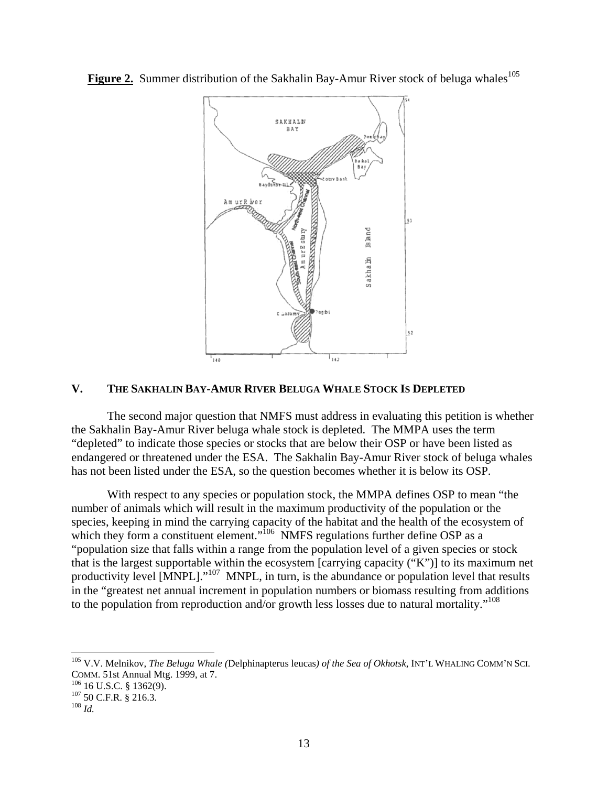**Figure 2.** Summer distribution of the Sakhalin Bay-Amur River stock of beluga whales<sup>105</sup>



## **V. THE SAKHALIN BAY-AMUR RIVER BELUGA WHALE STOCK IS DEPLETED**

The second major question that NMFS must address in evaluating this petition is whether the Sakhalin Bay-Amur River beluga whale stock is depleted. The MMPA uses the term "depleted" to indicate those species or stocks that are below their OSP or have been listed as endangered or threatened under the ESA. The Sakhalin Bay-Amur River stock of beluga whales has not been listed under the ESA, so the question becomes whether it is below its OSP.

With respect to any species or population stock, the MMPA defines OSP to mean "the number of animals which will result in the maximum productivity of the population or the species, keeping in mind the carrying capacity of the habitat and the health of the ecosystem of which they form a constituent element."<sup>106</sup> NMFS regulations further define OSP as a "population size that falls within a range from the population level of a given species or stock that is the largest supportable within the ecosystem [carrying capacity ("K")] to its maximum net productivity level [MNPL]."<sup>107</sup> MNPL, in turn, is the abundance or population level that results in the "greatest net annual increment in population numbers or biomass resulting from additions to the population from reproduction and/or growth less losses due to natural mortality."<sup>108</sup>

<sup>105</sup> V.V. Melnikov, *The Beluga Whale (*Delphinapterus leucas*) of the Sea of Okhotsk*, INT'L WHALING COMM'N SCI. COMM. 51st Annual Mtg. 1999, at 7.<br><sup>106</sup> 16 U.S.C. § 1362(9).<br><sup>107</sup> 50 C.F.R. § 216.3.<br><sup>108</sup> *Id*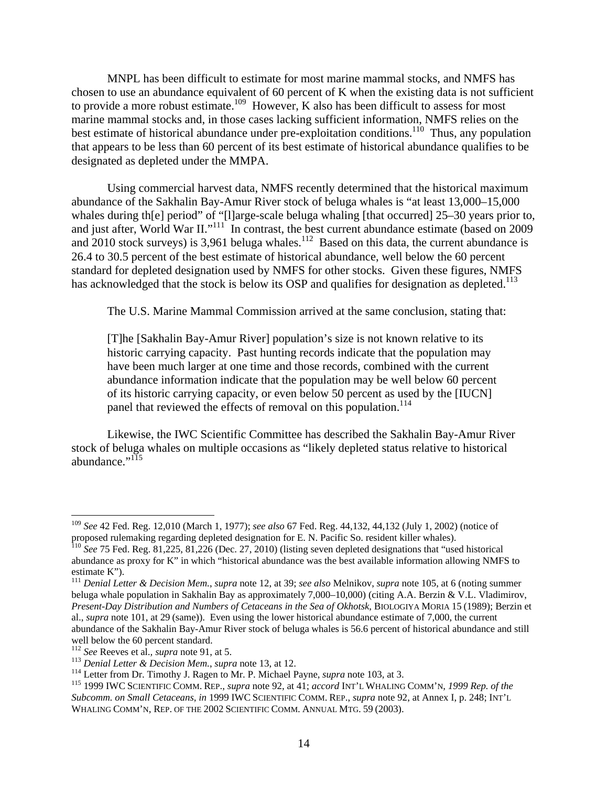MNPL has been difficult to estimate for most marine mammal stocks, and NMFS has chosen to use an abundance equivalent of 60 percent of K when the existing data is not sufficient to provide a more robust estimate.<sup>109</sup> However, K also has been difficult to assess for most marine mammal stocks and, in those cases lacking sufficient information, NMFS relies on the best estimate of historical abundance under pre-exploitation conditions.<sup>110</sup> Thus, any population that appears to be less than 60 percent of its best estimate of historical abundance qualifies to be designated as depleted under the MMPA.

Using commercial harvest data, NMFS recently determined that the historical maximum abundance of the Sakhalin Bay-Amur River stock of beluga whales is "at least 13,000–15,000 whales during th[e] period" of "[l]arge-scale beluga whaling [that occurred] 25–30 years prior to, and just after, World War II."<sup>111</sup> In contrast, the best current abundance estimate (based on 2009 and 2010 stock surveys) is 3,961 beluga whales.<sup>112</sup> Based on this data, the current abundance is 26.4 to 30.5 percent of the best estimate of historical abundance, well below the 60 percent standard for depleted designation used by NMFS for other stocks. Given these figures, NMFS has acknowledged that the stock is below its OSP and qualifies for designation as depleted.<sup>113</sup>

The U.S. Marine Mammal Commission arrived at the same conclusion, stating that:

[T]he [Sakhalin Bay-Amur River] population's size is not known relative to its historic carrying capacity. Past hunting records indicate that the population may have been much larger at one time and those records, combined with the current abundance information indicate that the population may be well below 60 percent of its historic carrying capacity, or even below 50 percent as used by the [IUCN] panel that reviewed the effects of removal on this population.<sup>114</sup>

Likewise, the IWC Scientific Committee has described the Sakhalin Bay-Amur River stock of beluga whales on multiple occasions as "likely depleted status relative to historical abundance."<sup>115</sup>

<sup>109</sup> *See* 42 Fed. Reg. 12,010 (March 1, 1977); *see also* 67 Fed. Reg. 44,132, 44,132 (July 1, 2002) (notice of proposed rulemaking regarding depleted designation for E. N. Pacific So. resident killer whales).

<sup>110</sup> *See* 75 Fed. Reg. 81,225, 81,226 (Dec. 27, 2010) (listing seven depleted designations that "used historical abundance as proxy for K" in which "historical abundance was the best available information allowing NMFS to estimate K").

<sup>111</sup> *Denial Letter & Decision Mem.*, *supra* note 12, at 39; *see also* Melnikov, *supra* note 105, at 6 (noting summer beluga whale population in Sakhalin Bay as approximately 7,000–10,000) (citing A.A. Berzin & V.L. Vladimirov, *Present-Day Distribution and Numbers of Cetaceans in the Sea of Okhotsk*, BIOLOGIYA MORIA 15 (1989); Berzin et al., *supra* note 101, at 29 (same)). Even using the lower historical abundance estimate of 7,000, the current abundance of the Sakhalin Bay-Amur River stock of beluga whales is 56.6 percent of historical abundance and still well below the 60 percent standard.<br><sup>112</sup> See Reeves et al., *supra* note 91, at 5.

<sup>&</sup>lt;sup>113</sup> Denial Letter & Decision Mem., supra note 13, at 12.<br><sup>114</sup> Letter from Dr. Timothy J. Ragen to Mr. P. Michael Payne, *supra* note 103, at 3.<br><sup>115</sup> 1999 IWC SCIENTIFIC COMM. REP., *supra* note 92, at 41; *accord* INT' *Subcomm. on Small Cetaceans*, *in* 1999 IWC SCIENTIFIC COMM. REP., *supra* note 92, at Annex I, p. 248; INT'L WHALING COMM'N, REP. OF THE 2002 SCIENTIFIC COMM. ANNUAL MTG. 59 (2003).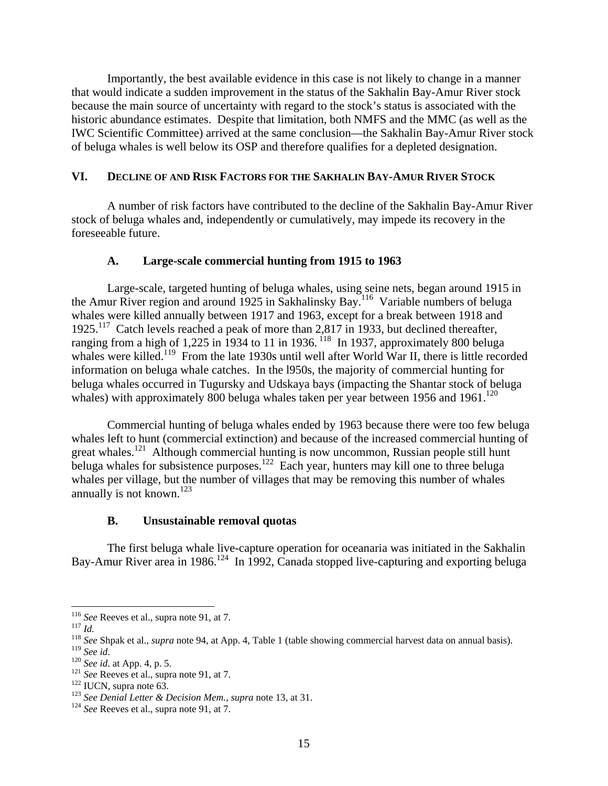Importantly, the best available evidence in this case is not likely to change in a manner that would indicate a sudden improvement in the status of the Sakhalin Bay-Amur River stock because the main source of uncertainty with regard to the stock's status is associated with the historic abundance estimates. Despite that limitation, both NMFS and the MMC (as well as the IWC Scientific Committee) arrived at the same conclusion—the Sakhalin Bay-Amur River stock of beluga whales is well below its OSP and therefore qualifies for a depleted designation.

#### **VI. DECLINE OF AND RISK FACTORS FOR THE SAKHALIN BAY-AMUR RIVER STOCK**

A number of risk factors have contributed to the decline of the Sakhalin Bay-Amur River stock of beluga whales and, independently or cumulatively, may impede its recovery in the foreseeable future.

#### **A. Large-scale commercial hunting from 1915 to 1963**

Large-scale, targeted hunting of beluga whales, using seine nets, began around 1915 in the Amur River region and around 1925 in Sakhalinsky Bay.<sup>116</sup> Variable numbers of beluga whales were killed annually between 1917 and 1963, except for a break between 1918 and 1925.<sup>117</sup> Catch levels reached a peak of more than 2,817 in 1933, but declined thereafter, ranging from a high of  $1,225$  in 1934 to 11 in 1936.  $^{118}$  In 1937, approximately 800 beluga whales were killed.<sup>119</sup> From the late 1930s until well after World War II, there is little recorded information on beluga whale catches. In the l950s, the majority of commercial hunting for beluga whales occurred in Tugursky and Udskaya bays (impacting the Shantar stock of beluga whales) with approximately 800 beluga whales taken per year between 1956 and 1961.<sup>120</sup>

Commercial hunting of beluga whales ended by 1963 because there were too few beluga whales left to hunt (commercial extinction) and because of the increased commercial hunting of great whales.<sup>121</sup> Although commercial hunting is now uncommon, Russian people still hunt beluga whales for subsistence purposes.<sup>122</sup> Each year, hunters may kill one to three beluga whales per village, but the number of villages that may be removing this number of whales annually is not known.<sup>123</sup>

#### **B. Unsustainable removal quotas**

The first beluga whale live-capture operation for oceanaria was initiated in the Sakhalin Bay-Amur River area in 1986.<sup>124</sup> In 1992, Canada stopped live-capturing and exporting beluga

<sup>&</sup>lt;sup>116</sup> See Reeves et al., supra note 91, at 7.

<sup>117</sup> *Id.*<br><sup>118</sup> *See* Shpak et al., *supra* note 94, at App. 4, Table 1 (table showing commercial harvest data on annual basis).<br><sup>119</sup> *See id.* 

<sup>&</sup>lt;sup>120</sup> See id. at App. 4, p. 5.<br><sup>121</sup> See Reeves et al., supra note 91, at 7.<br><sup>122</sup> IUCN, supra note 63.<br><sup>123</sup> See Denial Letter & Decision Mem., supra note 13, at 31.<br><sup>124</sup> See Reeves et al., supra note 91, at 7.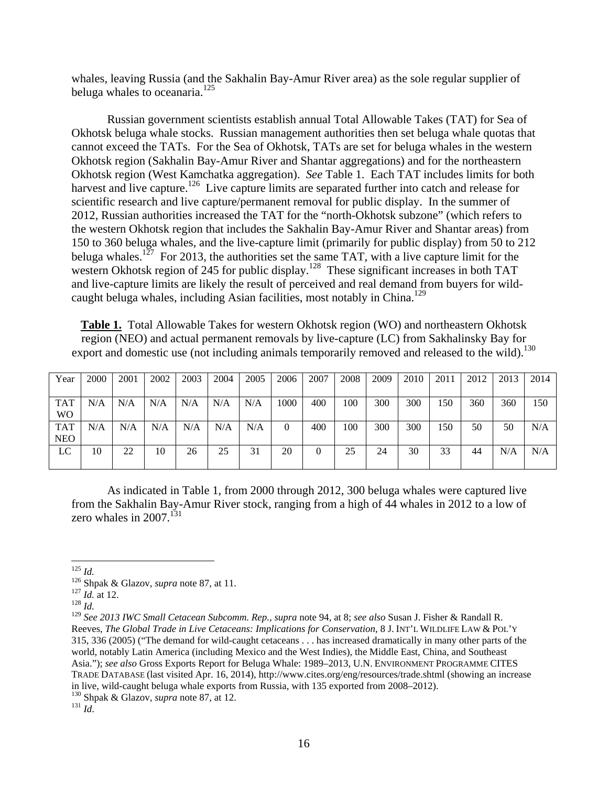whales, leaving Russia (and the Sakhalin Bay-Amur River area) as the sole regular supplier of beluga whales to oceanaria.<sup>125</sup>

Russian government scientists establish annual Total Allowable Takes (TAT) for Sea of Okhotsk beluga whale stocks. Russian management authorities then set beluga whale quotas that cannot exceed the TATs. For the Sea of Okhotsk, TATs are set for beluga whales in the western Okhotsk region (Sakhalin Bay-Amur River and Shantar aggregations) and for the northeastern Okhotsk region (West Kamchatka aggregation). *See* Table 1. Each TAT includes limits for both harvest and live capture.<sup>126</sup> Live capture limits are separated further into catch and release for scientific research and live capture/permanent removal for public display. In the summer of 2012, Russian authorities increased the TAT for the "north-Okhotsk subzone" (which refers to the western Okhotsk region that includes the Sakhalin Bay-Amur River and Shantar areas) from 150 to 360 beluga whales, and the live-capture limit (primarily for public display) from 50 to 212 beluga whales.<sup>127</sup> For 2013, the authorities set the same TAT, with a live capture limit for the western Okhotsk region of 245 for public display.<sup>128</sup> These significant increases in both TAT and live-capture limits are likely the result of perceived and real demand from buyers for wildcaught beluga whales, including Asian facilities, most notably in China.<sup>129</sup>

**Table 1.** Total Allowable Takes for western Okhotsk region (WO) and northeastern Okhotsk region (NEO) and actual permanent removals by live-capture (LC) from Sakhalinsky Bay for export and domestic use (not including animals temporarily removed and released to the wild).<sup>130</sup>

| Year           | 2000 | 2001 | 2002 | 2003 | 2004 | 2005 | 2006 | 2007 | 2008 | 2009 | 2010 | 2011 | 2012 | 2013 | 2014 |
|----------------|------|------|------|------|------|------|------|------|------|------|------|------|------|------|------|
|                |      |      |      |      |      |      |      |      |      |      |      |      |      |      |      |
| <b>TAT</b>     | N/A  | N/A  | N/A  | N/A  | N/A  | N/A  | 1000 | 400  | 100  | 300  | 300  | 150  | 360  | 360  | 150  |
| W <sub>O</sub> |      |      |      |      |      |      |      |      |      |      |      |      |      |      |      |
| <b>TAT</b>     | N/A  | N/A  | N/A  | N/A  | N/A  | N/A  | 0    | 400  | 100  | 300  | 300  | 150  | 50   | 50   | N/A  |
| <b>NEO</b>     |      |      |      |      |      |      |      |      |      |      |      |      |      |      |      |
| LC             | 10   | 22   | 10   | 26   | 25   | 31   | 20   |      | 25   | 24   | 30   | 33   | 44   | N/A  | N/A  |
|                |      |      |      |      |      |      |      |      |      |      |      |      |      |      |      |

As indicated in Table 1, from 2000 through 2012, 300 beluga whales were captured live from the Sakhalin Bay-Amur River stock, ranging from a high of 44 whales in 2012 to a low of zero whales in  $2007$ <sup>131</sup>

<sup>125</sup> *Id.* 126 Shpak & Glazov, *supra* note 87, at 11. 127 *Id.* at 12. 128 *Id.*

<sup>129</sup> *See 2013 IWC Small Cetacean Subcomm. Rep.*, *supra* note 94, at 8; *see also* Susan J. Fisher & Randall R. Reeves, *The Global Trade in Live Cetaceans: Implications for Conservation*, 8 J. INT'L WILDLIFE LAW & POL'Y 315, 336 (2005) ("The demand for wild-caught cetaceans . . . has increased dramatically in many other parts of the world, notably Latin America (including Mexico and the West Indies), the Middle East, China, and Southeast Asia."); *see also* Gross Exports Report for Beluga Whale: 1989–2013, U.N. ENVIRONMENT PROGRAMME CITES TRADE DATABASE (last visited Apr. 16, 2014), [http://www.cites.org/eng/resources/trade.shtml \(sh](http://www.cites.org/eng/resources/trade.shtml)owing an increase in live, wild-caught beluga whale exports from Russia, with 135 exported from 2008–2012).

<sup>130</sup> Shpak & Glazov, *supra* note 87, at 12. 131 *Id*.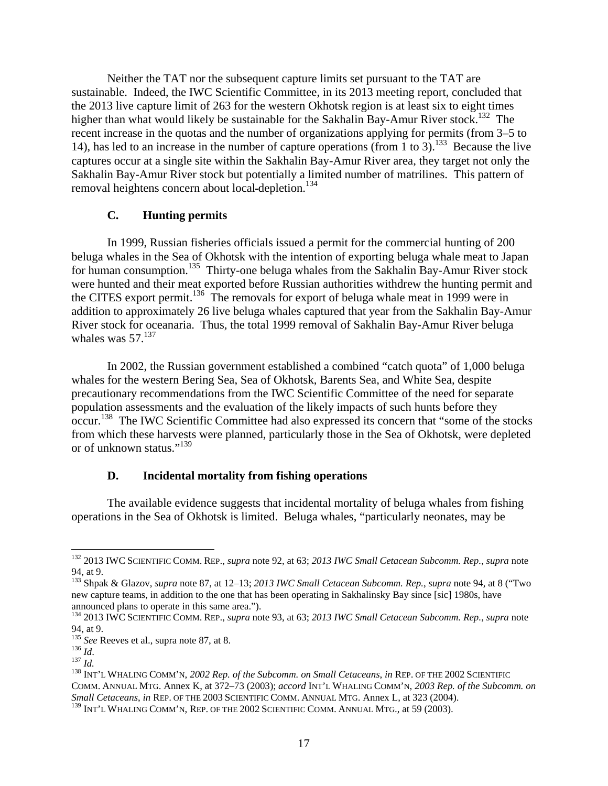Neither the TAT nor the subsequent capture limits set pursuant to the TAT are sustainable. Indeed, the IWC Scientific Committee, in its 2013 meeting report, concluded that the 2013 live capture limit of 263 for the western Okhotsk region is at least six to eight times higher than what would likely be sustainable for the Sakhalin Bay-Amur River stock.<sup>132</sup> The recent increase in the quotas and the number of organizations applying for permits (from 3–5 to 14), has led to an increase in the number of capture operations (from 1 to 3).<sup>133</sup> Because the live captures occur at a single site within the Sakhalin Bay-Amur River area, they target not only the Sakhalin Bay-Amur River stock but potentially a limited number of matrilines. This pattern of removal heightens concern about local-depletion.<sup>134</sup>

### **C. Hunting permits**

In 1999, Russian fisheries officials issued a permit for the commercial hunting of 200 beluga whales in the Sea of Okhotsk with the intention of exporting beluga whale meat to Japan for human consumption.135 Thirty-one beluga whales from the Sakhalin Bay-Amur River stock were hunted and their meat exported before Russian authorities withdrew the hunting permit and the CITES export permit.<sup>136</sup> The removals for export of beluga whale meat in 1999 were in addition to approximately 26 live beluga whales captured that year from the Sakhalin Bay-Amur River stock for oceanaria. Thus, the total 1999 removal of Sakhalin Bay-Amur River beluga whales was  $57^{137}$ 

In 2002, the Russian government established a combined "catch quota" of 1,000 beluga whales for the western Bering Sea, Sea of Okhotsk, Barents Sea, and White Sea, despite precautionary recommendations from the IWC Scientific Committee of the need for separate population assessments and the evaluation of the likely impacts of such hunts before they occur.<sup>138</sup> The IWC Scientific Committee had also expressed its concern that "some of the stocks" from which these harvests were planned, particularly those in the Sea of Okhotsk, were depleted or of unknown status."<sup>139</sup>

## **D. Incidental mortality from fishing operations**

The available evidence suggests that incidental mortality of beluga whales from fishing operations in the Sea of Okhotsk is limited. Beluga whales, "particularly neonates, may be

<sup>132 2013</sup> IWC SCIENTIFIC COMM. REP., *supra* note 92, at 63; *2013 IWC Small Cetacean Subcomm. Rep.*, *supra* note 94, at 9.

<sup>133</sup> Shpak & Glazov, *supra* note 87, at 12–13; *2013 IWC Small Cetacean Subcomm. Rep.*, *supra* note 94, at 8 ("Two new capture teams, in addition to the one that has been operating in Sakhalinsky Bay since [sic] 1980s, have announced plans to operate in this same area.").

<sup>134 2013</sup> IWC SCIENTIFIC COMM. REP., *supra* note 93, at 63; *2013 IWC Small Cetacean Subcomm. Rep.*, *supra* note 94, at 9.<br> $^{135}$  See Reeves et al., supra note 87, at 8.

<sup>136</sup> *Id.*<br><sup>137</sup> *Id.* 137 *Id.* 137 *Id.* 138 **INT'L WHALING COMM'N, 2002 Rep. of the Subcomm. on Small Cetaceans, in REP. OF THE 2002 SCIENTIFIC** COMM. ANNUAL MTG. Annex K, at 372–73 (2003); *accord* INT'L WHALING COMM'N, *2003 Rep. of the Subcomm. on Small Cetaceans*, *in* REP. OF THE 2003 SCIENTIFIC COMM. ANNUAL MTG. Annex L, at 323 (2004).

<sup>&</sup>lt;sup>139</sup> INT'L WHALING COMM'N, REP. OF THE 2002 SCIENTIFIC COMM. ANNUAL MTG., at 59 (2003).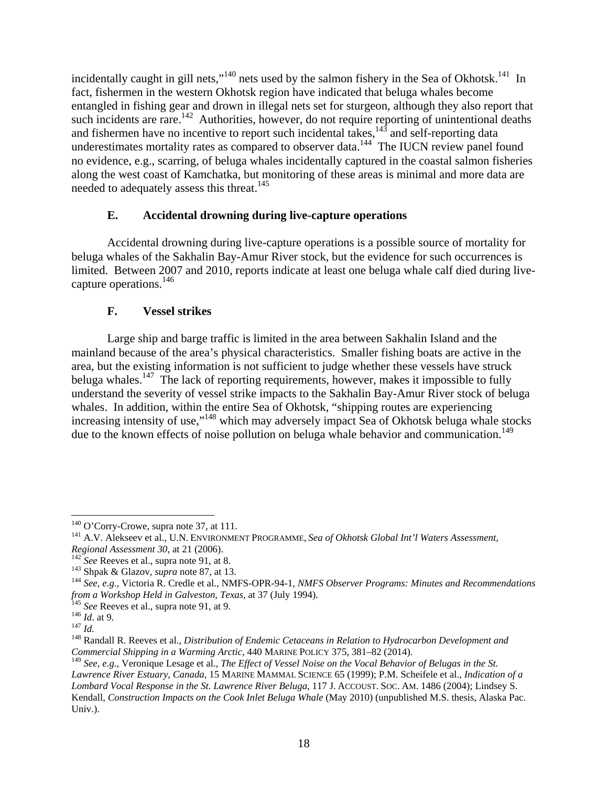incidentally caught in gill nets,"<sup>140</sup> nets used by the salmon fishery in the Sea of Okhotsk.<sup>141</sup> In fact, fishermen in the western Okhotsk region have indicated that beluga whales become entangled in fishing gear and drown in illegal nets set for sturgeon, although they also report that such incidents are rare.<sup>142</sup> Authorities, however, do not require reporting of unintentional deaths and fishermen have no incentive to report such incidental takes,  $143$  and self-reporting data underestimates mortality rates as compared to observer data.<sup>144</sup> The IUCN review panel found no evidence, e.g., scarring, of beluga whales incidentally captured in the coastal salmon fisheries along the west coast of Kamchatka, but monitoring of these areas is minimal and more data are needed to adequately assess this threat.<sup>145</sup>

# **E. Accidental drowning during live-capture operations**

Accidental drowning during live-capture operations is a possible source of mortality for beluga whales of the Sakhalin Bay-Amur River stock, but the evidence for such occurrences is limited. Between 2007 and 2010, reports indicate at least one beluga whale calf died during livecapture operations.146

# **F. Vessel strikes**

Large ship and barge traffic is limited in the area between Sakhalin Island and the mainland because of the area's physical characteristics. Smaller fishing boats are active in the area, but the existing information is not sufficient to judge whether these vessels have struck beluga whales.<sup>147</sup> The lack of reporting requirements, however, makes it impossible to fully understand the severity of vessel strike impacts to the Sakhalin Bay-Amur River stock of beluga whales. In addition, within the entire Sea of Okhotsk, "shipping routes are experiencing increasing intensity of use,"148 which may adversely impact Sea of Okhotsk beluga whale stocks due to the known effects of noise pollution on beluga whale behavior and communication.<sup>149</sup>

 $140$  O'Corry-Crowe, supra note 37, at 111.

<sup>&</sup>lt;sup>141</sup> A.V. Alekseev et al., U.N. ENVIRONMENT PROGRAMME, *Sea of Okhotsk Global Int'l Waters Assessment, Regional Assessment 30*, at 21 (2006).

<sup>&</sup>lt;sup>142</sup> See Reeves et al., supra note 91, at 8.<br><sup>143</sup> Shpak & Glazov, *supra* note 87, at 13.<br><sup>144</sup> See, e.g., Victoria R. Credle et al., NMFS-OPR-94-1, *NMFS Observer Programs: Minutes and Recommendations* from a Workshop Held in Galveston, Texas, at 37 (July 1994).<br>
<sup>145</sup> See Reeves et al., supra note 91, at 9.<br>
<sup>146</sup> Id. at 9.<br>
<sup>148</sup> Randall R. Reeves et al., *Distribution of Endemic Cetaceans in Relation to Hydrocarbon De* 

*Commercial Shipping in a Warming Arctic*, 440 MARINE POLICY 375, 381–82 (2014).

<sup>149</sup> *See, e.g.*, Veronique Lesage et al., *The Effect of Vessel Noise on the Vocal Behavior of Belugas in the St. Lawrence River Estuary, Canada*, 15 MARINE MAMMAL SCIENCE 65 (1999); P.M. Scheifele et al., *Indication of a Lombard Vocal Response in the St. Lawrence River Beluga*, 117 J. ACCOUST. SOC. AM. 1486 (2004); Lindsey S. Kendall, *Construction Impacts on the Cook Inlet Beluga Whale* (May 2010) (unpublished M.S. thesis, Alaska Pac. Univ.).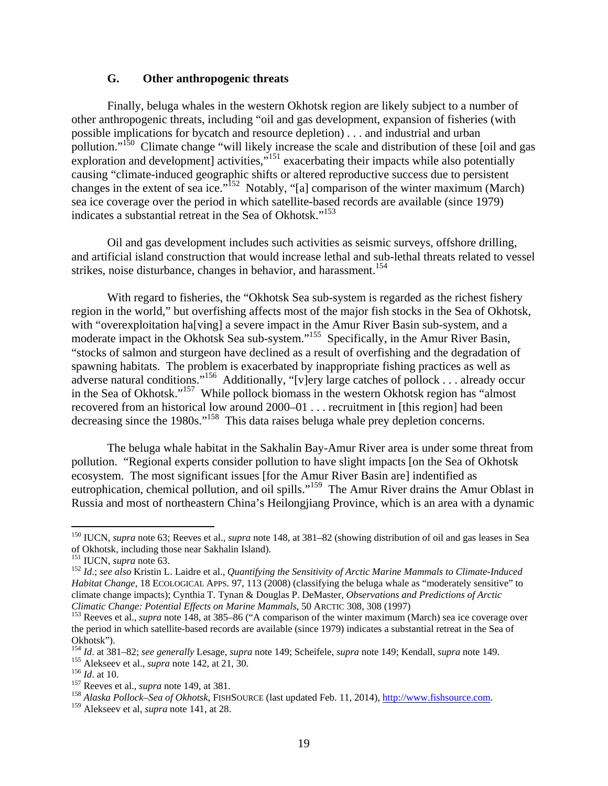# **G. Other anthropogenic threats**

Finally, beluga whales in the western Okhotsk region are likely subject to a number of other anthropogenic threats, including "oil and gas development, expansion of fisheries (with possible implications for bycatch and resource depletion) . . . and industrial and urban pollution."<sup>150</sup> Climate change "will likely increase the scale and distribution of these [oil and gas exploration and development] activities, $\frac{151}{151}$  exacerbating their impacts while also potentially causing "climate-induced geographic shifts or altered reproductive success due to persistent changes in the extent of sea ice."<sup>152</sup> Notably, "[a] comparison of the winter maximum (March) sea ice coverage over the period in which satellite-based records are available (since 1979) indicates a substantial retreat in the Sea of Okhotsk."153

Oil and gas development includes such activities as seismic surveys, offshore drilling, and artificial island construction that would increase lethal and sub-lethal threats related to vessel strikes, noise disturbance, changes in behavior, and harassment.<sup>154</sup>

With regard to fisheries, the "Okhotsk Sea sub-system is regarded as the richest fishery region in the world," but overfishing affects most of the major fish stocks in the Sea of Okhotsk, with "overexploitation ha[ving] a severe impact in the Amur River Basin sub-system, and a moderate impact in the Okhotsk Sea sub-system."<sup>155</sup> Specifically, in the Amur River Basin, "stocks of salmon and sturgeon have declined as a result of overfishing and the degradation of spawning habitats. The problem is exacerbated by inappropriate fishing practices as well as adverse natural conditions."<sup>156</sup> Additionally, "[v]ery large catches of pollock . . . already occur in the Sea of Okhotsk."157 While pollock biomass in the western Okhotsk region has "almost recovered from an historical low around 2000–01 . . . recruitment in [this region] had been decreasing since the 1980s."<sup>158</sup> This data raises beluga whale prey depletion concerns.

The beluga whale habitat in the Sakhalin Bay-Amur River area is under some threat from pollution. "Regional experts consider pollution to have slight impacts [on the Sea of Okhotsk ecosystem. The most significant issues [for the Amur River Basin are] indentified as eutrophication, chemical pollution, and oil spills."<sup>159</sup> The Amur River drains the Amur Oblast in Russia and most of northeastern China's Heilongjiang Province, which is an area with a dynamic

<sup>150</sup> IUCN, *supra* note 63; Reeves et al., *supra* note 148, at 381–82 (showing distribution of oil and gas leases in Sea of Okhotsk, including those near Sakhalin Island).<br><sup>151</sup> IUCN, *supra* note 63.

<sup>&</sup>lt;sup>152</sup> Id.; see also Kristin L. Laidre et al., *Quantifying the Sensitivity of Arctic Marine Mammals to Climate-Induced Habitat Change*, 18 ECOLOGICAL APPS. 97, 113 (2008) (classifying the beluga whale as "moderately sensitive" to climate change impacts); Cynthia T. Tynan & Douglas P. DeMaster, *Observations and Predictions of Arctic* 

<sup>&</sup>lt;sup>153</sup> Reeves et al., *supra* note 148, at 385–86 ("A comparison of the winter maximum (March) sea ice coverage over the period in which satellite-based records are available (since 1979) indicates a substantial retreat in the Sea of Okhotsk").<br><sup>154</sup> Id. at 381–82; *see generally* Lesage, *supra* note 149; Scheifele, *supra* note 149; Kendall, *supra* note 149.

<sup>&</sup>lt;sup>155</sup> Alekseev et al., *supra* note 142, at 21, 30.<br><sup>156</sup> Id. at 10.<br><sup>157</sup> Reeves et al., *supra* note 149, at 381.<br><sup>157</sup> Alaska Pollock–Sea of Okhotsk, FISHSOURCE (last updated Feb. 11, 2014), <u>http://www.fishsource.com</u>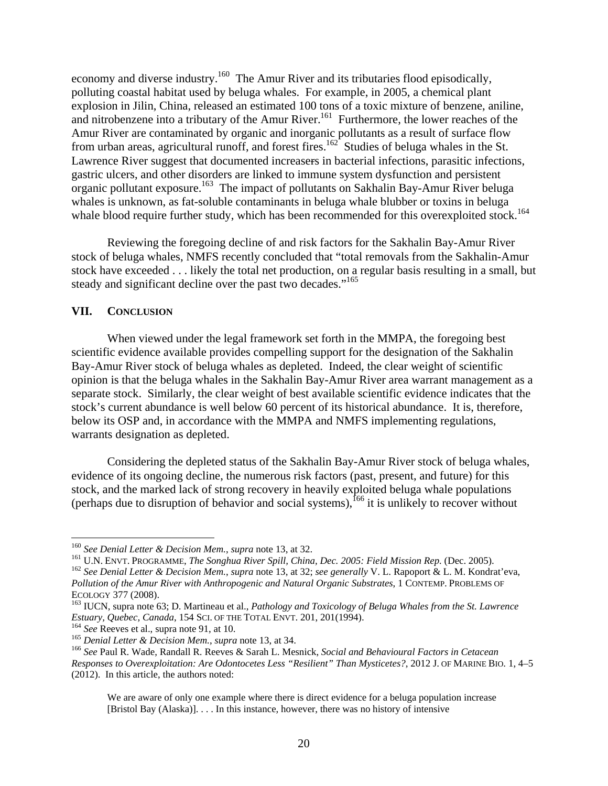economy and diverse industry.<sup>160</sup> The Amur River and its tributaries flood episodically, polluting coastal habitat used by beluga whales. For example, in 2005, a chemical plant explosion in Jilin, China, released an estimated 100 tons of a toxic mixture of benzene, aniline, and nitrobenzene into a tributary of the Amur River.<sup>161</sup> Furthermore, the lower reaches of the Amur River are contaminated by organic and inorganic pollutants as a result of surface flow from urban areas, agricultural runoff, and forest fires.<sup>162</sup> Studies of beluga whales in the St. Lawrence River suggest that documented increasers in bacterial infections, parasitic infections, gastric ulcers, and other disorders are linked to immune system dysfunction and persistent organic pollutant exposure.<sup>163</sup> The impact of pollutants on Sakhalin Bay-Amur River beluga whales is unknown, as fat-soluble contaminants in beluga whale blubber or toxins in beluga whale blood require further study, which has been recommended for this overexploited stock.<sup>164</sup>

Reviewing the foregoing decline of and risk factors for the Sakhalin Bay-Amur River stock of beluga whales, NMFS recently concluded that "total removals from the Sakhalin-Amur stock have exceeded . . . likely the total net production, on a regular basis resulting in a small, but steady and significant decline over the past two decades."<sup>165</sup>

## **VII. CONCLUSION**

When viewed under the legal framework set forth in the MMPA, the foregoing best scientific evidence available provides compelling support for the designation of the Sakhalin Bay-Amur River stock of beluga whales as depleted. Indeed, the clear weight of scientific opinion is that the beluga whales in the Sakhalin Bay-Amur River area warrant management as a separate stock. Similarly, the clear weight of best available scientific evidence indicates that the stock's current abundance is well below 60 percent of its historical abundance. It is, therefore, below its OSP and, in accordance with the MMPA and NMFS implementing regulations, warrants designation as depleted.

Considering the depleted status of the Sakhalin Bay-Amur River stock of beluga whales, evidence of its ongoing decline, the numerous risk factors (past, present, and future) for this stock, and the marked lack of strong recovery in heavily exploited beluga whale populations (perhaps due to disruption of behavior and social systems),  $^{166}$  it is unlikely to recover without

<sup>&</sup>lt;sup>160</sup> See Denial Letter & Decision Mem., supra note 13, at 32.

<sup>&</sup>lt;sup>161</sup> U.N. ENVT. PROGRAMME, *The Songhua River Spill, China, Dec. 2005: Field Mission Rep.* (Dec. 2005).<br><sup>162</sup> See Denial Letter & Decision Mem., supra note 13, at 32; see generally V. L. Rapoport & L. M. Kondrat'eva, *Pollution of the Amur River with Anthropogenic and Natural Organic Substrates*, 1 CONTEMP. PROBLEMS OF

ECOLOGY 377 (2008).<br><sup>163</sup> IUCN, supra note 63; D. Martineau et al., *Pathology and Toxicology of Beluga Whales from the St. Lawrence*<br>*Estuary, Quebec, Canada*, 154 SCI. OF THE TOTAL ENVT. 201, 201(1994).

<sup>&</sup>lt;sup>164</sup> See Reeves et al., supra note 91, at 10.<br><sup>165</sup> Denial Letter & Decision Mem., supra note 13, at 34.<br><sup>166</sup> See Paul R. Wade, Randall R. Reeves & Sarah L. Mesnick, Social and Behavioural Factors in Cetacean *Responses to Overexploitation: Are Odontocetes Less "Resilient" Than Mysticetes?*, 2012 J. OF MARINE BIO. 1, 4–5 (2012). In this article, the authors noted:

We are aware of only one example where there is direct evidence for a beluga population increase [Bristol Bay (Alaska)]. . . . In this instance, however, there was no history of intensive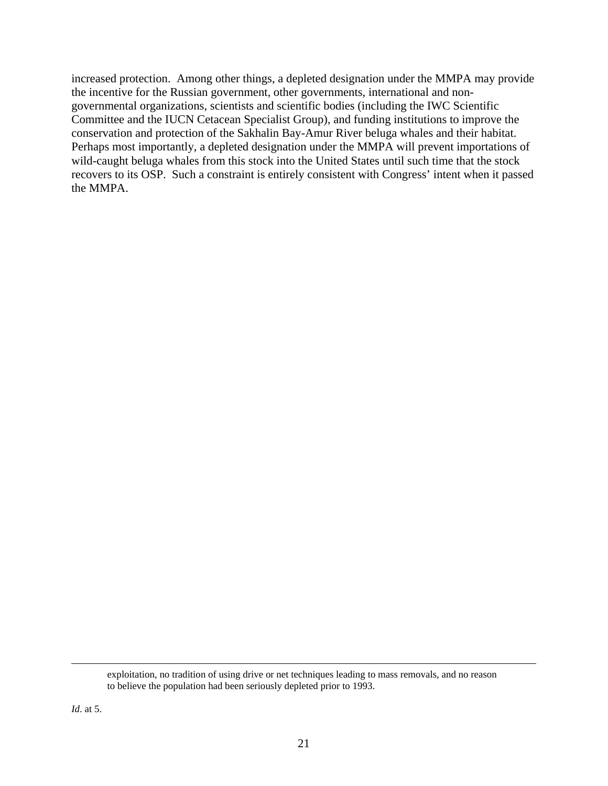increased protection. Among other things, a depleted designation under the MMPA may provide the incentive for the Russian government, other governments, international and nongovernmental organizations, scientists and scientific bodies (including the IWC Scientific Committee and the IUCN Cetacean Specialist Group), and funding institutions to improve the conservation and protection of the Sakhalin Bay-Amur River beluga whales and their habitat. Perhaps most importantly, a depleted designation under the MMPA will prevent importations of wild-caught beluga whales from this stock into the United States until such time that the stock recovers to its OSP. Such a constraint is entirely consistent with Congress' intent when it passed the MMPA.

<sup>&</sup>lt;u> 1989 - Andrea San Andrea San Andrea San Andrea San Andrea San Andrea San Andrea San Andrea San Andrea San An</u> exploitation, no tradition of using drive or net techniques leading to mass removals, and no reason to believe the population had been seriously depleted prior to 1993.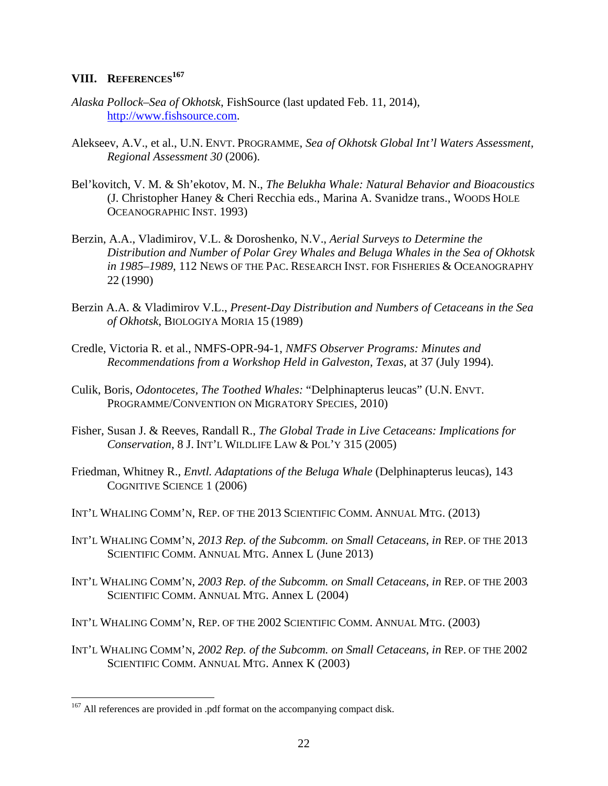# **VIII. REFERENCES<sup>167</sup>**

- *Alaska Pollock–Sea of Okhotsk*, FishSource (last updated Feb. 11, 2014), [http://www.fishsource.com.](http://www.fishsource.com)
- Alekseev, A.V., et al., U.N. ENVT. PROGRAMME, *Sea of Okhotsk Global Int'l Waters Assessment, Regional Assessment 30* (2006).
- Bel'kovitch, V. M. & Sh'ekotov, M. N., *The Belukha Whale: Natural Behavior and Bioacoustics* (J. Christopher Haney & Cheri Recchia eds., Marina A. Svanidze trans., WOODS HOLE OCEANOGRAPHIC INST. 1993)
- Berzin, A.A., Vladimirov, V.L. & Doroshenko, N.V., *Aerial Surveys to Determine the Distribution and Number of Polar Grey Whales and Beluga Whales in the Sea of Okhotsk in 1985–1989*, 112 NEWS OF THE PAC. RESEARCH INST. FOR FISHERIES & OCEANOGRAPHY 22 (1990)
- Berzin A.A. & Vladimirov V.L., *Present-Day Distribution and Numbers of Cetaceans in the Sea of Okhotsk*, BIOLOGIYA MORIA 15 (1989)
- Credle, Victoria R. et al., NMFS-OPR-94-1, *NMFS Observer Programs: Minutes and Recommendations from a Workshop Held in Galveston, Texas*, at 37 (July 1994).
- Culik, Boris, *Odontocetes, The Toothed Whales:* "Delphinapterus leucas" (U.N. ENVT. PROGRAMME/CONVENTION ON MIGRATORY SPECIES, 2010)
- Fisher, Susan J. & Reeves, Randall R., *The Global Trade in Live Cetaceans: Implications for Conservation*, 8 J. INT'L WILDLIFE LAW & POL'Y 315 (2005)
- Friedman, Whitney R., *Envtl. Adaptations of the Beluga Whale* (Delphinapterus leucas), 143 COGNITIVE SCIENCE 1 (2006)
- INT'L WHALING COMM'N, REP. OF THE 2013 SCIENTIFIC COMM. ANNUAL MTG. (2013)
- INT'L WHALING COMM'N, *2013 Rep. of the Subcomm. on Small Cetaceans*, *in* REP. OF THE 2013 SCIENTIFIC COMM. ANNUAL MTG. Annex L (June 2013)
- INT'L WHALING COMM'N, *2003 Rep. of the Subcomm. on Small Cetaceans*, *in* REP. OF THE 2003 SCIENTIFIC COMM. ANNUAL MTG. Annex L (2004)
- INT'L WHALING COMM'N, REP. OF THE 2002 SCIENTIFIC COMM. ANNUAL MTG. (2003)
- INT'L WHALING COMM'N, *2002 Rep. of the Subcomm. on Small Cetaceans*, *in* REP. OF THE 2002 SCIENTIFIC COMM. ANNUAL MTG. Annex K (2003)

<sup>&</sup>lt;sup>167</sup> All references are provided in .pdf format on the accompanying compact disk.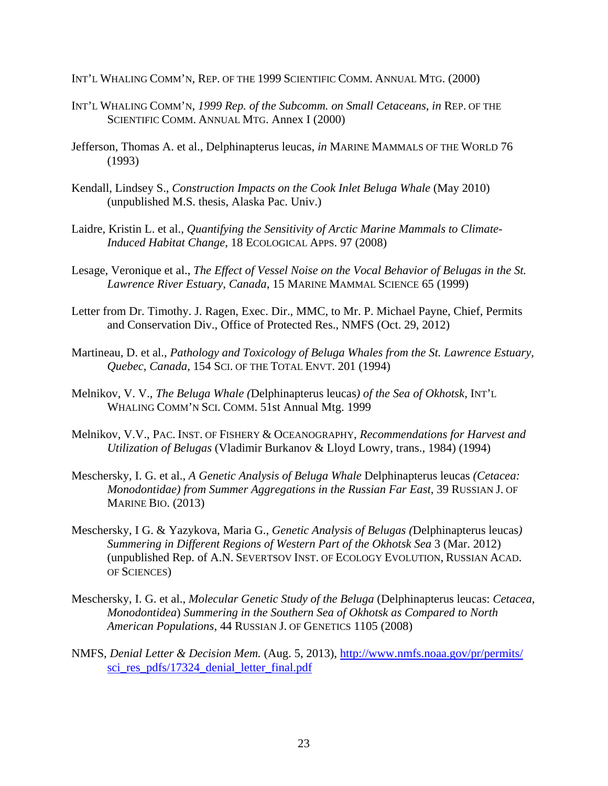- INT'L WHALING COMM'N, REP. OF THE 1999 SCIENTIFIC COMM. ANNUAL MTG. (2000)
- INT'L WHALING COMM'N, *1999 Rep. of the Subcomm. on Small Cetaceans*, *in* REP. OF THE SCIENTIFIC COMM. ANNUAL MTG. Annex I (2000)
- Jefferson, Thomas A. et al., Delphinapterus leucas, *in* MARINE MAMMALS OF THE WORLD 76 (1993)
- Kendall, Lindsey S., *Construction Impacts on the Cook Inlet Beluga Whale* (May 2010) (unpublished M.S. thesis, Alaska Pac. Univ.)
- Laidre, Kristin L. et al., *Quantifying the Sensitivity of Arctic Marine Mammals to Climate-Induced Habitat Change*, 18 ECOLOGICAL APPS. 97 (2008)
- Lesage, Veronique et al., *The Effect of Vessel Noise on the Vocal Behavior of Belugas in the St. Lawrence River Estuary, Canada*, 15 MARINE MAMMAL SCIENCE 65 (1999)
- Letter from Dr. Timothy. J. Ragen, Exec. Dir., MMC, to Mr. P. Michael Payne, Chief, Permits and Conservation Div., Office of Protected Res., NMFS (Oct. 29, 2012)
- Martineau, D. et al., *Pathology and Toxicology of Beluga Whales from the St. Lawrence Estuary, Quebec, Canada*, 154 SCI. OF THE TOTAL ENVT. 201 (1994)
- Melnikov, V. V., *The Beluga Whale (*Delphinapterus leucas*) of the Sea of Okhotsk*, INT'L WHALING COMM'N SCI. COMM. 51st Annual Mtg. 1999
- Melnikov, V.V., PAC. INST. OF FISHERY & OCEANOGRAPHY, *Recommendations for Harvest and Utilization of Belugas* (Vladimir Burkanov & Lloyd Lowry, trans., 1984) (1994)
- Meschersky, I. G. et al., *A Genetic Analysis of Beluga Whale* Delphinapterus leucas *(Cetacea: Monodontidae) from Summer Aggregations in the Russian Far East*, 39 RUSSIAN J. OF MARINE BIO. (2013)
- Meschersky, I G. & Yazykova, Maria G., *Genetic Analysis of Belugas (*Delphinapterus leucas*) Summering in Different Regions of Western Part of the Okhotsk Sea* 3 (Mar. 2012) (unpublished Rep. of A.N. SEVERTSOV INST. OF ECOLOGY EVOLUTION, RUSSIAN ACAD. OF SCIENCES)
- Meschersky, I. G. et al., *Molecular Genetic Study of the Beluga* (Delphinapterus leucas: *Cetacea, Monodontidea*) *Summering in the Southern Sea of Okhotsk as Compared to North American Populations*, 44 RUSSIAN J. OF GENETICS 1105 (2008)
- NMFS, *Denial Letter & Decision Mem.* (Aug. 5, 2013), <http://www.nmfs.noaa.gov/pr/permits/> sci res pdfs/17324 denial letter final.pdf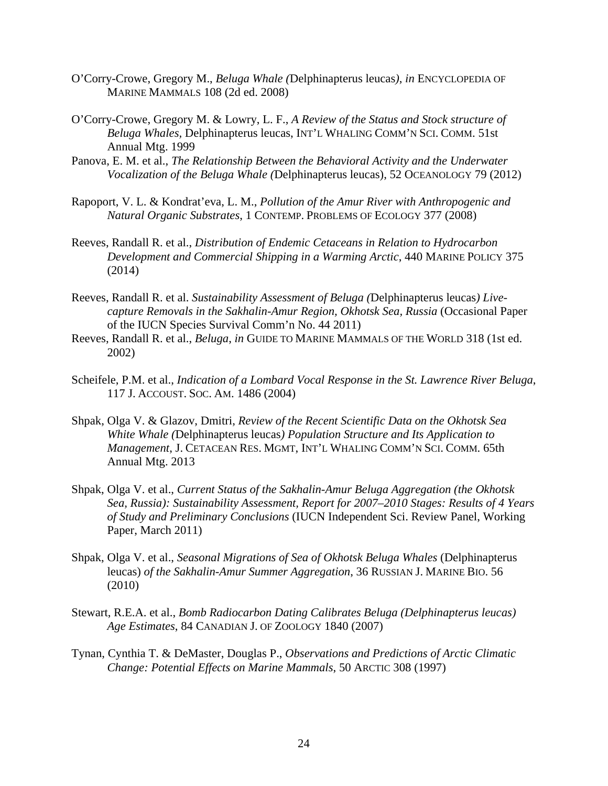- O'Corry-Crowe, Gregory M., *Beluga Whale (*Delphinapterus leucas*)*, *in* ENCYCLOPEDIA OF MARINE MAMMALS 108 (2d ed. 2008)
- O'Corry-Crowe, Gregory M. & Lowry, L. F., *A Review of the Status and Stock structure of Beluga Whales,* Delphinapterus leucas, INT'L WHALING COMM'N SCI. COMM. 51st Annual Mtg. 1999
- Panova, E. M. et al., *The Relationship Between the Behavioral Activity and the Underwater Vocalization of the Beluga Whale (*Delphinapterus leucas), 52 OCEANOLOGY 79 (2012)
- Rapoport, V. L. & Kondrat'eva, L. M., *Pollution of the Amur River with Anthropogenic and Natural Organic Substrates*, 1 CONTEMP. PROBLEMS OF ECOLOGY 377 (2008)
- Reeves, Randall R. et al., *Distribution of Endemic Cetaceans in Relation to Hydrocarbon Development and Commercial Shipping in a Warming Arctic*, 440 MARINE POLICY 375 (2014)
- Reeves, Randall R. et al. *Sustainability Assessment of Beluga (*Delphinapterus leucas*) Livecapture Removals in the Sakhalin-Amur Region, Okhotsk Sea, Russia* (Occasional Paper of the IUCN Species Survival Comm'n No. 44 2011)
- Reeves, Randall R. et al., *Beluga*, *in* GUIDE TO MARINE MAMMALS OF THE WORLD 318 (1st ed. 2002)
- Scheifele, P.M. et al., *Indication of a Lombard Vocal Response in the St. Lawrence River Beluga*, 117 J. ACCOUST. SOC. AM. 1486 (2004)
- Shpak, Olga V. & Glazov, Dmitri, *Review of the Recent Scientific Data on the Okhotsk Sea White Whale (*Delphinapterus leucas*) Population Structure and Its Application to Management*, J. CETACEAN RES. MGMT, INT'L WHALING COMM'N SCI. COMM. 65th Annual Mtg. 2013
- Shpak, Olga V. et al., *Current Status of the Sakhalin-Amur Beluga Aggregation (the Okhotsk Sea, Russia): Sustainability Assessment, Report for 2007–2010 Stages: Results of 4 Years of Study and Preliminary Conclusions* (IUCN Independent Sci. Review Panel, Working Paper, March 2011)
- Shpak, Olga V. et al., *Seasonal Migrations of Sea of Okhotsk Beluga Whales* (Delphinapterus leucas) *of the Sakhalin-Amur Summer Aggregation*, 36 RUSSIAN J. MARINE BIO. 56 (2010)
- Stewart, R.E.A. et al., *Bomb Radiocarbon Dating Calibrates Beluga (Delphinapterus leucas) Age Estimates*, 84 CANADIAN J. OF ZOOLOGY 1840 (2007)
- Tynan, Cynthia T. & DeMaster, Douglas P., *Observations and Predictions of Arctic Climatic Change: Potential Effects on Marine Mammals*, 50 ARCTIC 308 (1997)